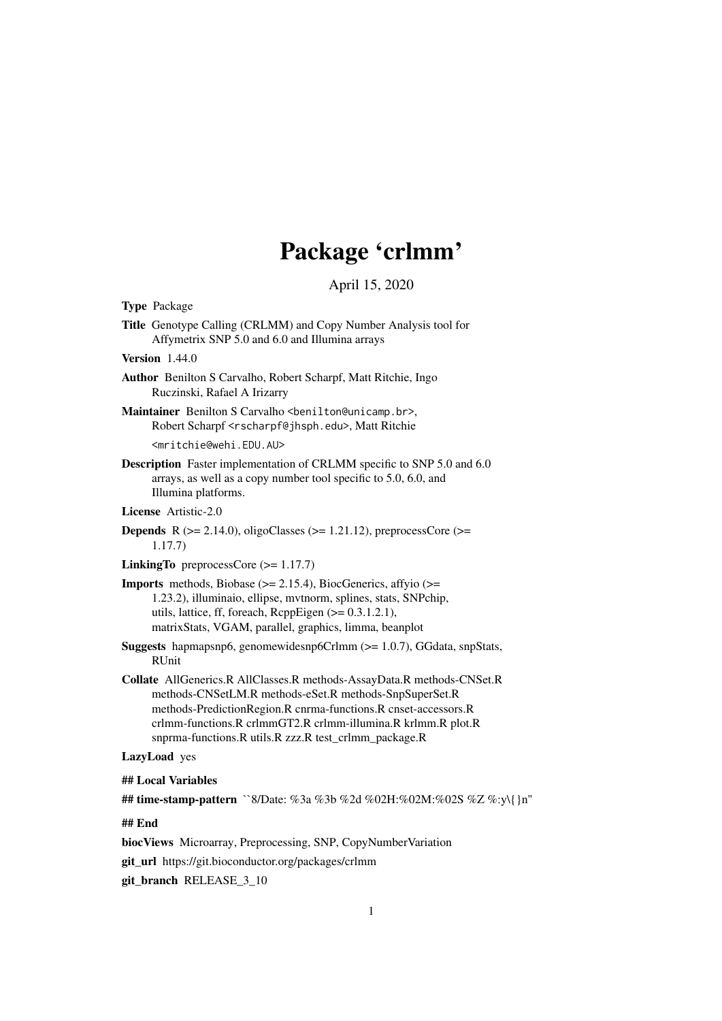# Package 'crlmm'

April 15, 2020

<span id="page-0-0"></span>Type Package

Title Genotype Calling (CRLMM) and Copy Number Analysis tool for Affymetrix SNP 5.0 and 6.0 and Illumina arrays

#### Version 1.44.0

- Author Benilton S Carvalho, Robert Scharpf, Matt Ritchie, Ingo Ruczinski, Rafael A Irizarry
- Maintainer Benilton S Carvalho <br/>benilton@unicamp.br>, Robert Scharpf <rscharpf@jhsph.edu>, Matt Ritchie

<mritchie@wehi.EDU.AU>

- Description Faster implementation of CRLMM specific to SNP 5.0 and 6.0 arrays, as well as a copy number tool specific to 5.0, 6.0, and Illumina platforms.
- License Artistic-2.0
- **Depends** R ( $>= 2.14.0$ ), oligoClasses ( $>= 1.21.12$ ), preprocessCore ( $>=$ 1.17.7)
- **LinkingTo** preprocessCore  $(>= 1.17.7)$
- **Imports** methods, Biobase  $(>= 2.15.4)$ , BiocGenerics, affyio  $(>=$ 1.23.2), illuminaio, ellipse, mvtnorm, splines, stats, SNPchip, utils, lattice, ff, foreach, RcppEigen  $(>= 0.3.1.2.1)$ , matrixStats, VGAM, parallel, graphics, limma, beanplot
- **Suggests** hapmapsnp6, genomewidesnp6Crlmm  $(>= 1.0.7)$ , GGdata, snpStats, RUnit
- Collate AllGenerics.R AllClasses.R methods-AssayData.R methods-CNSet.R methods-CNSetLM.R methods-eSet.R methods-SnpSuperSet.R methods-PredictionRegion.R cnrma-functions.R cnset-accessors.R crlmm-functions.R crlmmGT2.R crlmm-illumina.R krlmm.R plot.R snprma-functions.R utils.R zzz.R test\_crlmm\_package.R

# LazyLoad yes

## Local Variables

## time-stamp-pattern ``8/Date: %3a %3b %2d %02H:%02M:%02S %Z %:y\{}n''

## End

biocViews Microarray, Preprocessing, SNP, CopyNumberVariation

git\_url https://git.bioconductor.org/packages/crlmm

git\_branch RELEASE\_3\_10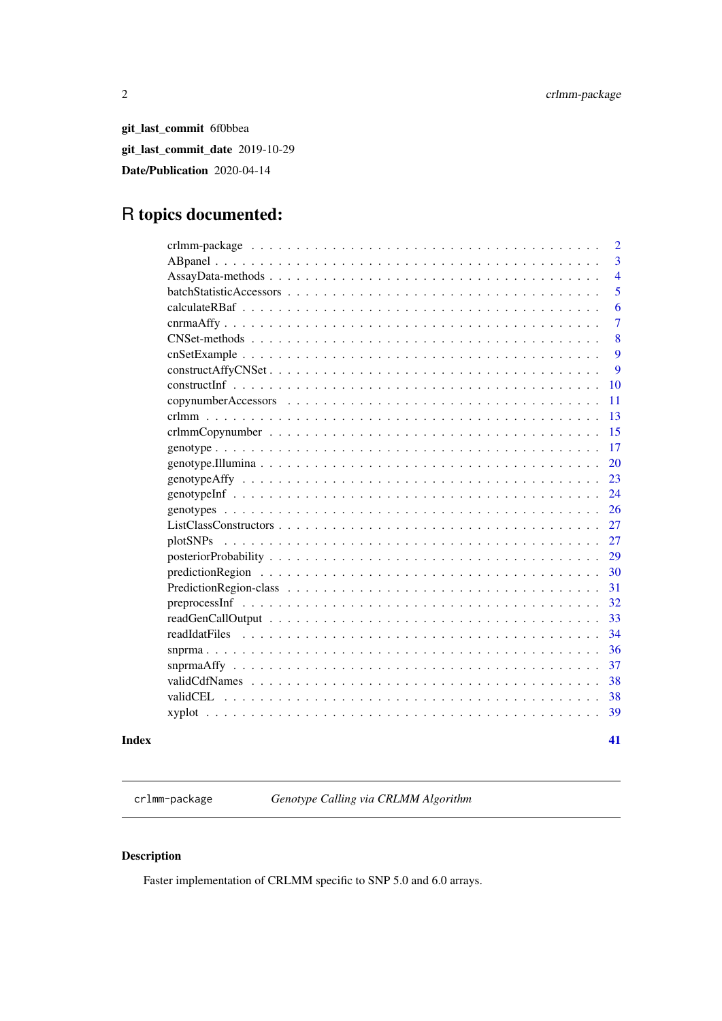<span id="page-1-0"></span>git\_last\_commit 6f0bbea git\_last\_commit\_date 2019-10-29 Date/Publication 2020-04-14

# R topics documented:

| $\overline{2}$ |
|----------------|
| $\overline{3}$ |
| $\overline{4}$ |
| 5              |
| 6              |
| $\overline{7}$ |
| 8              |
| 9              |
| 9              |
| 10             |
| 11             |
| 13             |
| 15             |
| 17             |
| 20             |
| 23             |
| 24             |
| 26             |
| 27             |
| 27             |
| 29             |
| 30             |
| 31             |
| 32             |
| 33             |
| 34             |
| 36             |
| 37             |
| 38             |
| 38             |
| 39             |
|                |

#### **Index** [41](#page-40-0)

crlmm-package *Genotype Calling via CRLMM Algorithm*

# Description

Faster implementation of CRLMM specific to SNP 5.0 and 6.0 arrays.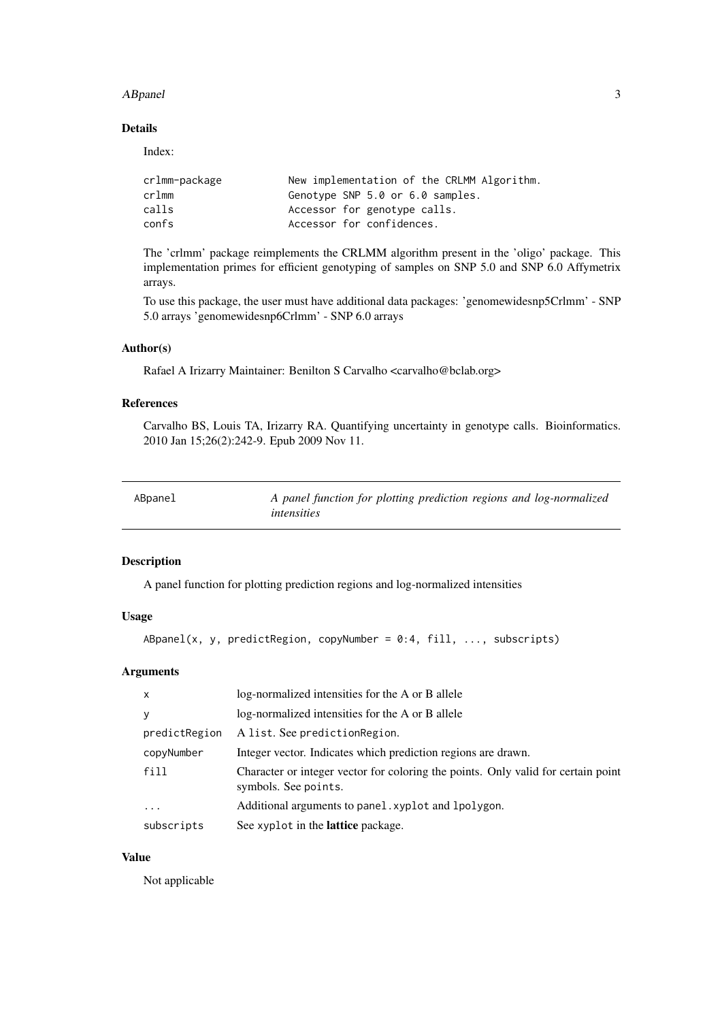#### <span id="page-2-0"></span>ABpanel 3

#### Details

Index:

| crlmm-package | New implementation of the CRLMM Algorithm. |
|---------------|--------------------------------------------|
| crlmm         | Genotype SNP 5.0 or 6.0 samples.           |
| calls         | Accessor for genotype calls.               |
| confs         | Accessor for confidences.                  |

The 'crlmm' package reimplements the CRLMM algorithm present in the 'oligo' package. This implementation primes for efficient genotyping of samples on SNP 5.0 and SNP 6.0 Affymetrix arrays.

To use this package, the user must have additional data packages: 'genomewidesnp5Crlmm' - SNP 5.0 arrays 'genomewidesnp6Crlmm' - SNP 6.0 arrays

# Author(s)

Rafael A Irizarry Maintainer: Benilton S Carvalho <carvalho@bclab.org>

# References

Carvalho BS, Louis TA, Irizarry RA. Quantifying uncertainty in genotype calls. Bioinformatics. 2010 Jan 15;26(2):242-9. Epub 2009 Nov 11.

<span id="page-2-1"></span>

| ABpanel | A panel function for plotting prediction regions and log-normalized |
|---------|---------------------------------------------------------------------|
|         | <i>intensities</i>                                                  |

#### Description

A panel function for plotting prediction regions and log-normalized intensities

# Usage

```
ABpanel(x, y, predictRegion, copyNumber = 0:4, fill, ..., subscripts)
```
# Arguments

| $\mathsf{x}$  | log-normalized intensities for the A or B allele                                                          |
|---------------|-----------------------------------------------------------------------------------------------------------|
| y             | log-normalized intensities for the A or B allele                                                          |
| predictRegion | A list. See prediction Region.                                                                            |
| copyNumber    | Integer vector. Indicates which prediction regions are drawn.                                             |
| fill          | Character or integer vector for coloring the points. Only valid for certain point<br>symbols. See points. |
| $\cdot$       | Additional arguments to panel. xyplot and lpolygon.                                                       |
| subscripts    | See xyplot in the lattice package.                                                                        |

# Value

Not applicable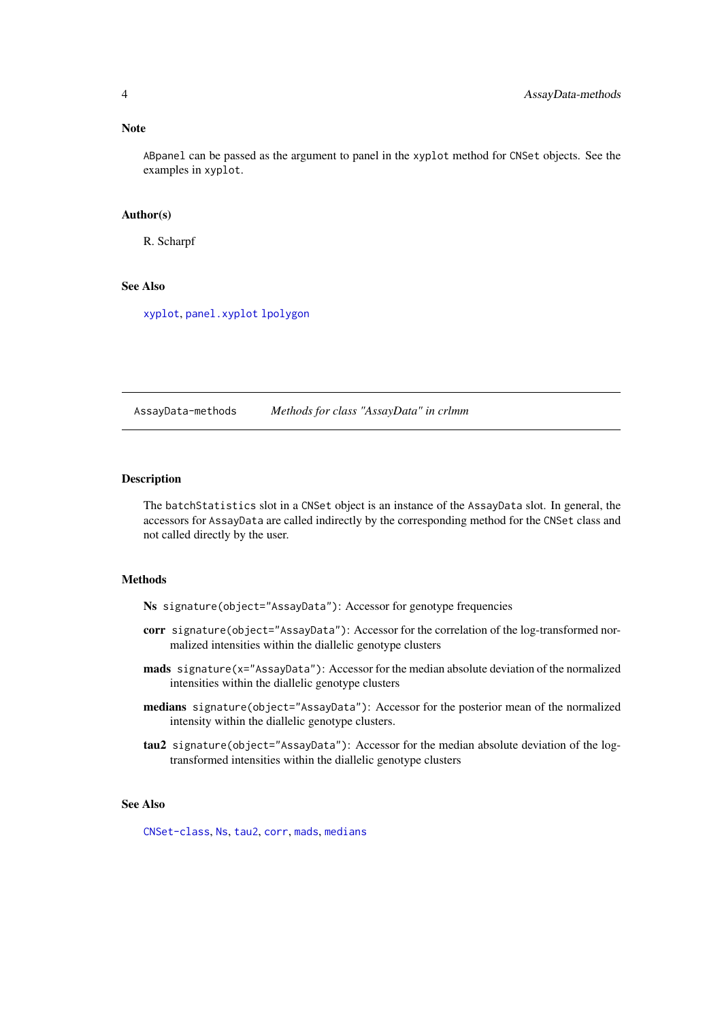#### <span id="page-3-0"></span>Note

ABpanel can be passed as the argument to panel in the xyplot method for CNSet objects. See the examples in xyplot.

#### Author(s)

R. Scharpf

# See Also

[xyplot](#page-38-1), [panel.xyplot](#page-0-0) [lpolygon](#page-0-0)

AssayData-methods *Methods for class "AssayData" in crlmm*

#### Description

The batchStatistics slot in a CNSet object is an instance of the AssayData slot. In general, the accessors for AssayData are called indirectly by the corresponding method for the CNSet class and not called directly by the user.

# Methods

Ns signature(object="AssayData"): Accessor for genotype frequencies

- corr signature(object="AssayData"): Accessor for the correlation of the log-transformed normalized intensities within the diallelic genotype clusters
- mads signature(x="AssayData"): Accessor for the median absolute deviation of the normalized intensities within the diallelic genotype clusters
- medians signature(object="AssayData"): Accessor for the posterior mean of the normalized intensity within the diallelic genotype clusters.
- tau2 signature(object="AssayData"): Accessor for the median absolute deviation of the logtransformed intensities within the diallelic genotype clusters

# See Also

[CNSet-class](#page-0-0), [Ns](#page-4-1), [tau2](#page-4-1), [corr](#page-4-1), [mads](#page-4-1), [medians](#page-4-1)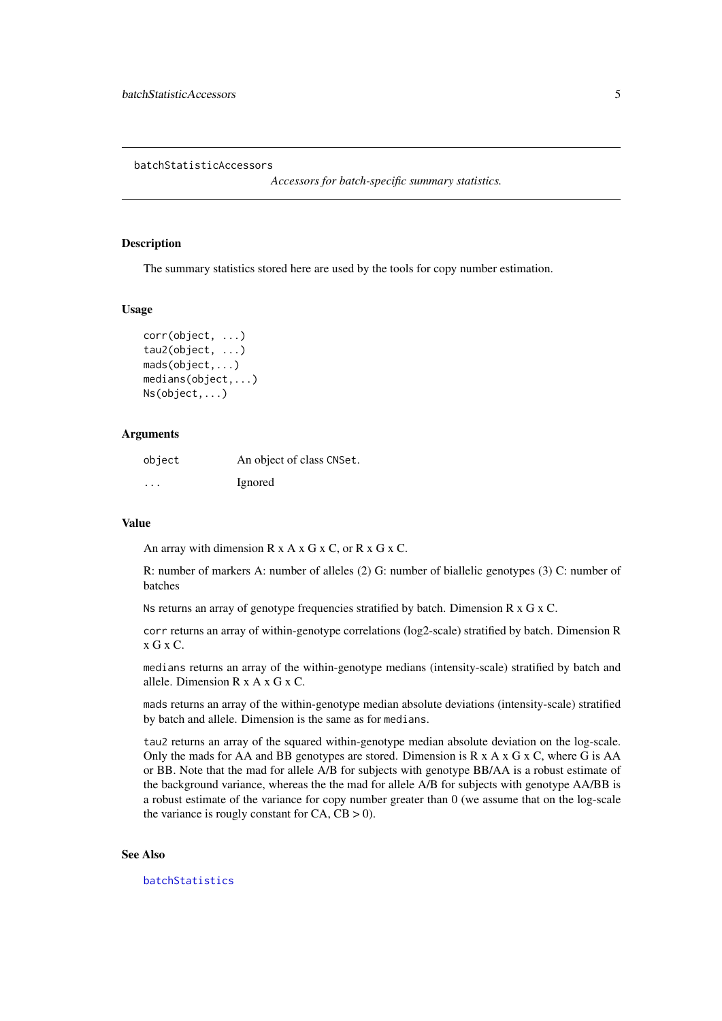<span id="page-4-0"></span>batchStatisticAccessors

*Accessors for batch-specific summary statistics.*

#### <span id="page-4-1"></span>Description

The summary statistics stored here are used by the tools for copy number estimation.

#### Usage

```
corr(object, ...)
tau2(object, ...)
mads(object,...)
medians(object,...)
Ns(object,...)
```
#### Arguments

| object  | An object of class CNSet. |
|---------|---------------------------|
| $\cdot$ | Ignored                   |

#### Value

An array with dimension  $R \times A \times G \times C$ , or  $R \times G \times C$ .

R: number of markers A: number of alleles (2) G: number of biallelic genotypes (3) C: number of batches

Ns returns an array of genotype frequencies stratified by batch. Dimension R x G x C.

corr returns an array of within-genotype correlations (log2-scale) stratified by batch. Dimension R x G x C.

medians returns an array of the within-genotype medians (intensity-scale) stratified by batch and allele. Dimension R x A x G x C.

mads returns an array of the within-genotype median absolute deviations (intensity-scale) stratified by batch and allele. Dimension is the same as for medians.

tau2 returns an array of the squared within-genotype median absolute deviation on the log-scale. Only the mads for AA and BB genotypes are stored. Dimension is  $R \times A \times G \times C$ , where G is AA or BB. Note that the mad for allele A/B for subjects with genotype BB/AA is a robust estimate of the background variance, whereas the the mad for allele A/B for subjects with genotype AA/BB is a robust estimate of the variance for copy number greater than 0 (we assume that on the log-scale the variance is rougly constant for  $CA$ ,  $CB > 0$ ).

#### See Also

[batchStatistics](#page-0-0)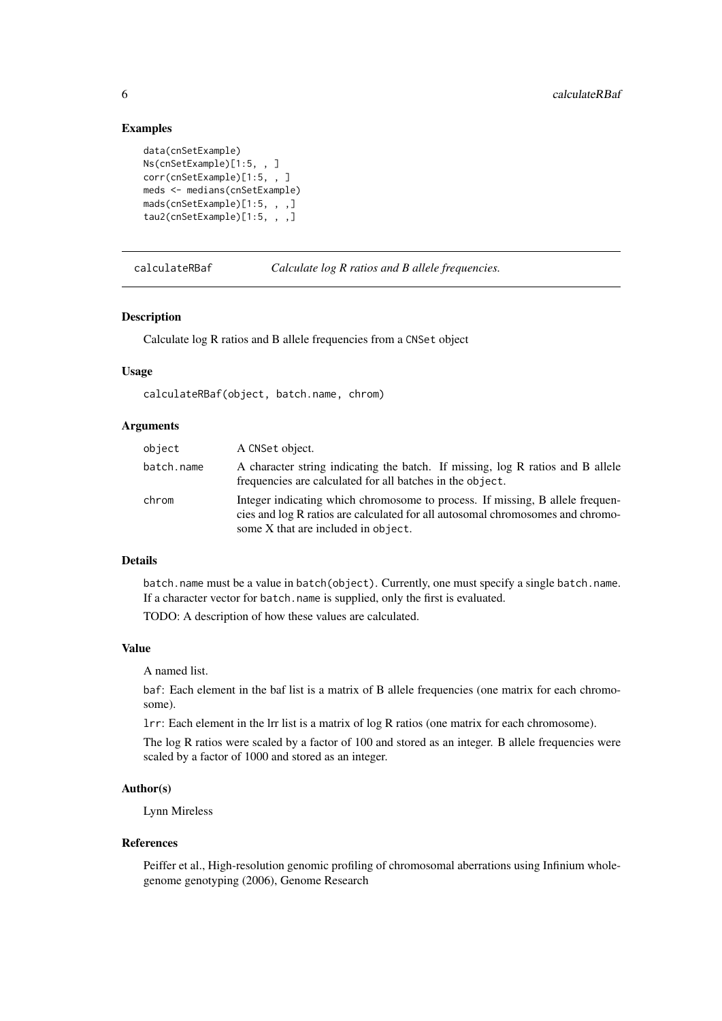# Examples

```
data(cnSetExample)
Ns(cnSetExample)[1:5, , ]
corr(cnSetExample)[1:5, , ]
meds <- medians(cnSetExample)
mads(cnSetExample)[1:5, , ,]
tau2(cnSetExample)[1:5, , ,]
```
calculateRBaf *Calculate log R ratios and B allele frequencies.*

#### Description

Calculate log R ratios and B allele frequencies from a CNSet object

#### Usage

calculateRBaf(object, batch.name, chrom)

### Arguments

| object     | A CNSet object.                                                                                                                                                                                        |
|------------|--------------------------------------------------------------------------------------------------------------------------------------------------------------------------------------------------------|
| batch.name | A character string indicating the batch. If missing, log R ratios and B allele<br>frequencies are calculated for all batches in the object.                                                            |
| chrom      | Integer indicating which chromosome to process. If missing, B allele frequen-<br>cies and log R ratios are calculated for all autosomal chromosomes and chromo-<br>some X that are included in object. |

#### Details

batch.name must be a value in batch(object). Currently, one must specify a single batch.name. If a character vector for batch.name is supplied, only the first is evaluated.

TODO: A description of how these values are calculated.

### Value

A named list.

baf: Each element in the baf list is a matrix of B allele frequencies (one matrix for each chromosome).

lrr: Each element in the lrr list is a matrix of log R ratios (one matrix for each chromosome).

The log R ratios were scaled by a factor of 100 and stored as an integer. B allele frequencies were scaled by a factor of 1000 and stored as an integer.

#### Author(s)

Lynn Mireless

#### References

Peiffer et al., High-resolution genomic profiling of chromosomal aberrations using Infinium wholegenome genotyping (2006), Genome Research

<span id="page-5-0"></span>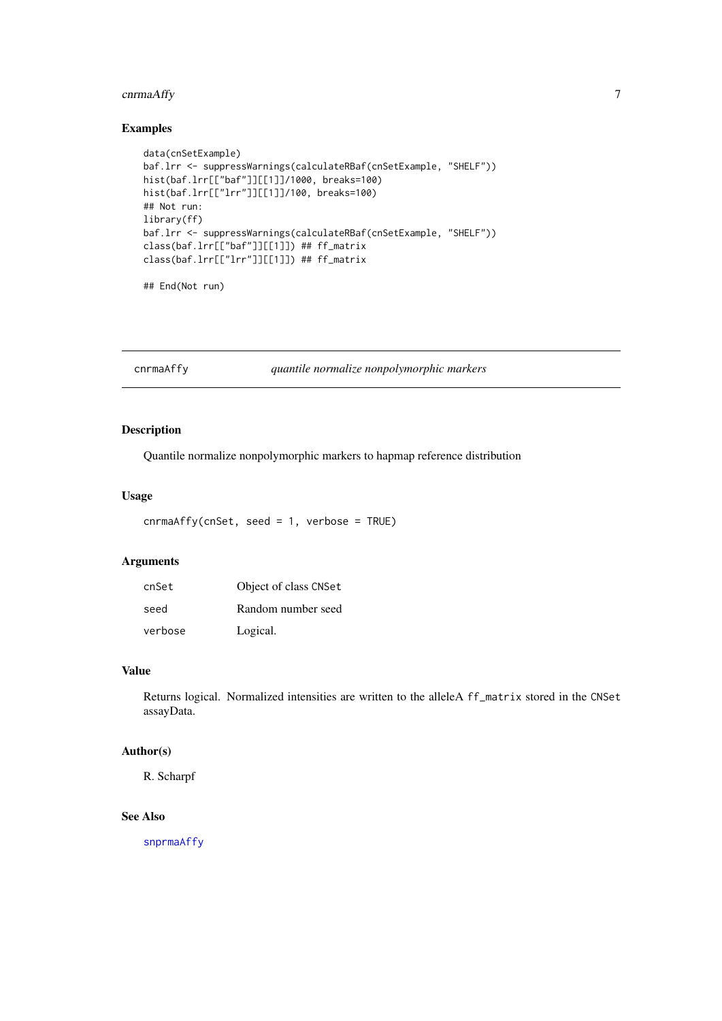# <span id="page-6-0"></span>cnrmaAffy 7

#### Examples

```
data(cnSetExample)
baf.lrr <- suppressWarnings(calculateRBaf(cnSetExample, "SHELF"))
hist(baf.lrr[["baf"]][[1]]/1000, breaks=100)
hist(baf.lrr[["lrr"]][[1]]/100, breaks=100)
## Not run:
library(ff)
baf.lrr <- suppressWarnings(calculateRBaf(cnSetExample, "SHELF"))
class(baf.lrr[["baf"]][[1]]) ## ff_matrix
class(baf.lrr[["lrr"]][[1]]) ## ff_matrix
```
## End(Not run)

cnrmaAffy *quantile normalize nonpolymorphic markers*

# Description

Quantile normalize nonpolymorphic markers to hapmap reference distribution

# Usage

```
cnrmaAffy(cnSet, seed = 1, verbose = TRUE)
```
#### Arguments

| cnSet   | Object of class CNSet |
|---------|-----------------------|
| seed    | Random number seed    |
| verbose | Logical.              |

# Value

Returns logical. Normalized intensities are written to the alleleA ff\_matrix stored in the CNSet assayData.

# Author(s)

R. Scharpf

# See Also

[snprmaAffy](#page-36-1)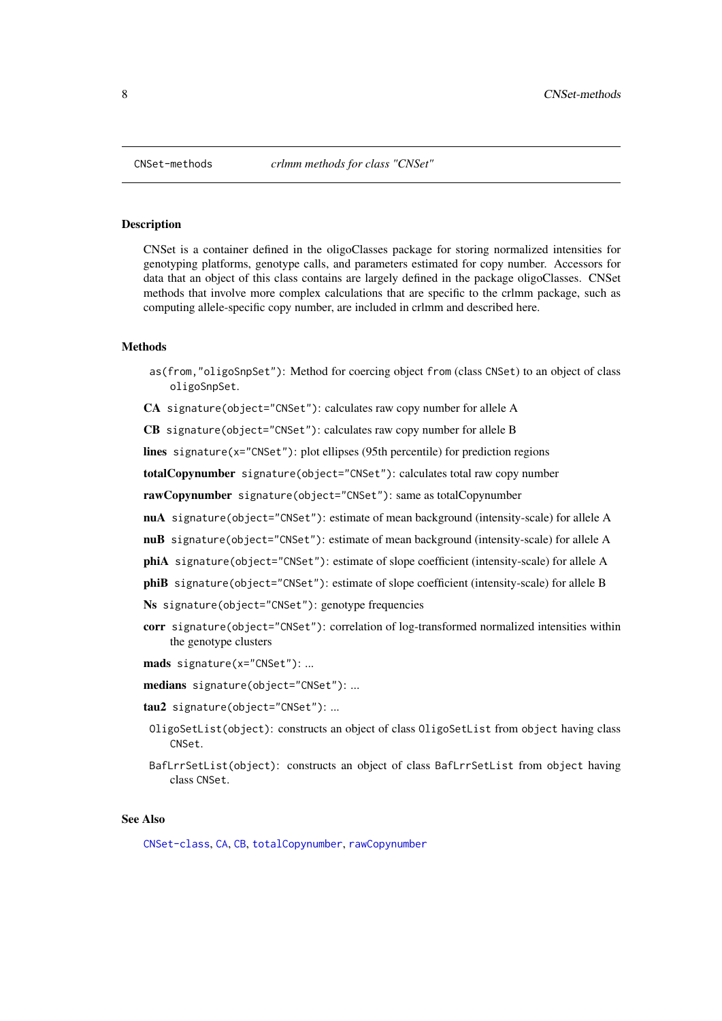#### Description

CNSet is a container defined in the oligoClasses package for storing normalized intensities for genotyping platforms, genotype calls, and parameters estimated for copy number. Accessors for data that an object of this class contains are largely defined in the package oligoClasses. CNSet methods that involve more complex calculations that are specific to the crlmm package, such as computing allele-specific copy number, are included in crlmm and described here.

#### Methods

- as(from,"oligoSnpSet"): Method for coercing object from (class CNSet) to an object of class oligoSnpSet.
- CA signature(object="CNSet"): calculates raw copy number for allele A

CB signature(object="CNSet"): calculates raw copy number for allele B

lines signature(x="CNSet"): plot ellipses (95th percentile) for prediction regions

totalCopynumber signature(object="CNSet"): calculates total raw copy number

rawCopynumber signature(object="CNSet"): same as totalCopynumber

- nuA signature(object="CNSet"): estimate of mean background (intensity-scale) for allele A
- nuB signature(object="CNSet"): estimate of mean background (intensity-scale) for allele A
- phiA signature(object="CNSet"): estimate of slope coefficient (intensity-scale) for allele A
- phiB signature(object="CNSet"): estimate of slope coefficient (intensity-scale) for allele B

Ns signature(object="CNSet"): genotype frequencies

- corr signature(object="CNSet"): correlation of log-transformed normalized intensities within the genotype clusters
- mads signature(x="CNSet"): ...
- medians signature(object="CNSet"): ...
- tau2 signature(object="CNSet"): ...
- OligoSetList(object): constructs an object of class OligoSetList from object having class CNSet.
- BafLrrSetList(object): constructs an object of class BafLrrSetList from object having class CNSet.

### See Also

[CNSet-class](#page-0-0), [CA](#page-10-1), [CB](#page-10-1), [totalCopynumber](#page-10-1), [rawCopynumber](#page-10-1)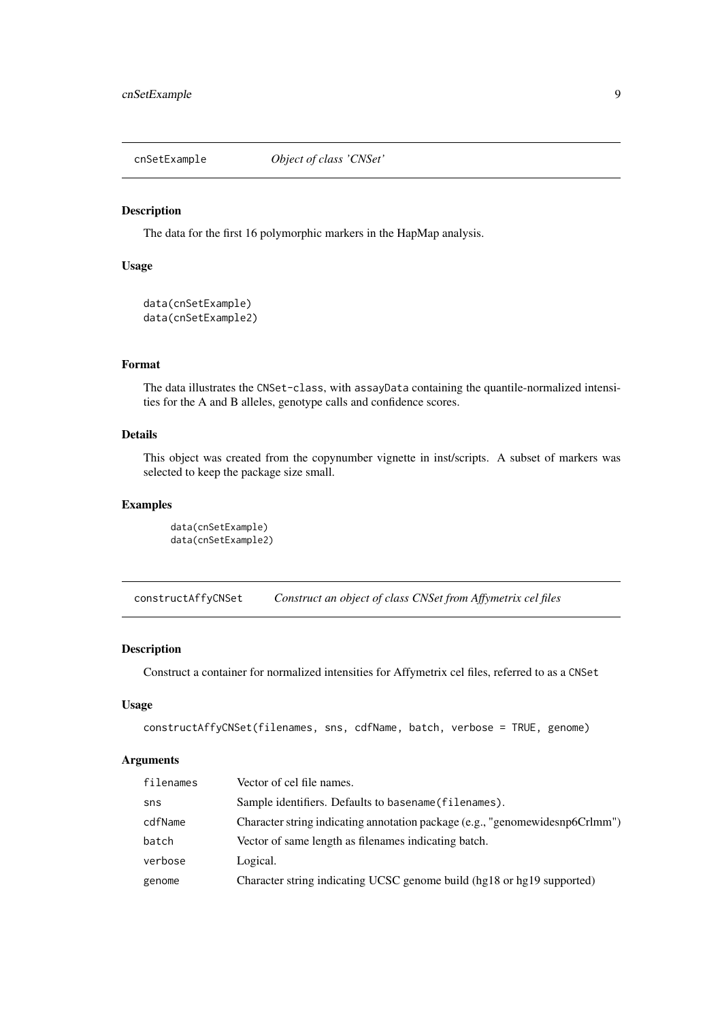<span id="page-8-0"></span>

#### Description

The data for the first 16 polymorphic markers in the HapMap analysis.

# Usage

```
data(cnSetExample)
data(cnSetExample2)
```
# Format

The data illustrates the CNSet-class, with assayData containing the quantile-normalized intensities for the A and B alleles, genotype calls and confidence scores.

# Details

This object was created from the copynumber vignette in inst/scripts. A subset of markers was selected to keep the package size small.

### Examples

```
data(cnSetExample)
data(cnSetExample2)
```
constructAffyCNSet *Construct an object of class CNSet from Affymetrix cel files*

#### Description

Construct a container for normalized intensities for Affymetrix cel files, referred to as a CNSet

#### Usage

```
constructAffyCNSet(filenames, sns, cdfName, batch, verbose = TRUE, genome)
```
# Arguments

| filenames | Vector of cel file names.                                                    |
|-----------|------------------------------------------------------------------------------|
| sns       | Sample identifiers. Defaults to basename (filenames).                        |
| cdfName   | Character string indicating annotation package (e.g., "genomewidesnp6Crlmm") |
| batch     | Vector of same length as filenames indicating batch.                         |
| verbose   | Logical.                                                                     |
| genome    | Character string indicating UCSC genome build (hg18 or hg19 supported)       |
|           |                                                                              |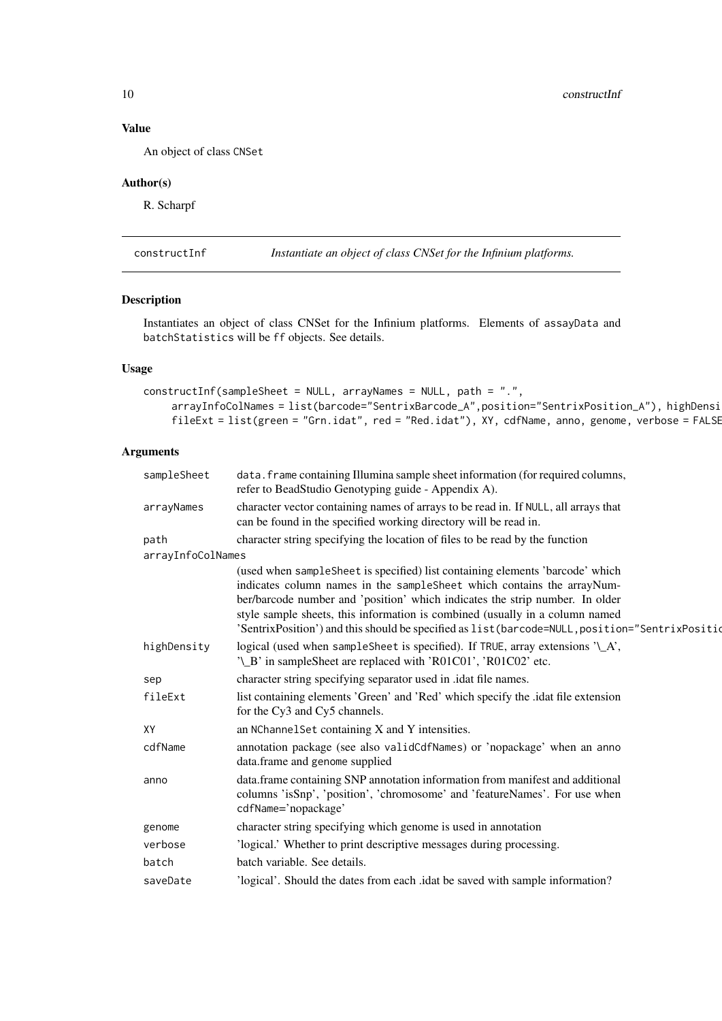<span id="page-9-0"></span>10 constructInf

# Value

An object of class CNSet

# Author(s)

R. Scharpf

<span id="page-9-1"></span>constructInf *Instantiate an object of class CNSet for the Infinium platforms.*

# Description

Instantiates an object of class CNSet for the Infinium platforms. Elements of assayData and batchStatistics will be ff objects. See details.

# Usage

```
constructInf(sampleSheet = NULL, arrayNames = NULL, path = ".",
    arrayInfoColNames = list(barcode="SentrixBarcode_A",position="SentrixPosition_A"), highDensi
    fileExt = list(green = "Grn.idat", red = "Red.idat"), XY, cdfName, anno, genome, verbose = FALSE
```
#### Arguments

| sampleSheet       | data. frame containing Illumina sample sheet information (for required columns,<br>refer to BeadStudio Genotyping guide - Appendix A).                                                                                                                                                                                                                                                                                      |
|-------------------|-----------------------------------------------------------------------------------------------------------------------------------------------------------------------------------------------------------------------------------------------------------------------------------------------------------------------------------------------------------------------------------------------------------------------------|
| arrayNames        | character vector containing names of arrays to be read in. If NULL, all arrays that<br>can be found in the specified working directory will be read in.                                                                                                                                                                                                                                                                     |
| path              | character string specifying the location of files to be read by the function                                                                                                                                                                                                                                                                                                                                                |
| arrayInfoColNames |                                                                                                                                                                                                                                                                                                                                                                                                                             |
|                   | (used when sampleSheet is specified) list containing elements 'barcode' which<br>indicates column names in the sampleSheet which contains the arrayNum-<br>ber/barcode number and 'position' which indicates the strip number. In older<br>style sample sheets, this information is combined (usually in a column named<br>'SentrixPosition') and this should be specified as list (barcode=NULL, position="SentrixPosition |
| highDensity       | logical (used when sampleSheet is specified). If TRUE, array extensions '\_A',<br>'\_B' in sampleSheet are replaced with 'R01C01', 'R01C02' etc.                                                                                                                                                                                                                                                                            |
| sep               | character string specifying separator used in .idat file names.                                                                                                                                                                                                                                                                                                                                                             |
| fileExt           | list containing elements 'Green' and 'Red' which specify the .idat file extension<br>for the Cy3 and Cy5 channels.                                                                                                                                                                                                                                                                                                          |
| XY                | an NChannelSet containing X and Y intensities.                                                                                                                                                                                                                                                                                                                                                                              |
| cdfName           | annotation package (see also validCdfNames) or 'nopackage' when an anno<br>data.frame and genome supplied                                                                                                                                                                                                                                                                                                                   |
| anno              | data.frame containing SNP annotation information from manifest and additional<br>columns 'isSnp', 'position', 'chromosome' and 'featureNames'. For use when<br>cdfName='nopackage'                                                                                                                                                                                                                                          |
| genome            | character string specifying which genome is used in annotation                                                                                                                                                                                                                                                                                                                                                              |
| verbose           | 'logical.' Whether to print descriptive messages during processing.                                                                                                                                                                                                                                                                                                                                                         |
| batch             | batch variable. See details.                                                                                                                                                                                                                                                                                                                                                                                                |
| saveDate          | 'logical'. Should the dates from each .idat be saved with sample information?                                                                                                                                                                                                                                                                                                                                               |
|                   |                                                                                                                                                                                                                                                                                                                                                                                                                             |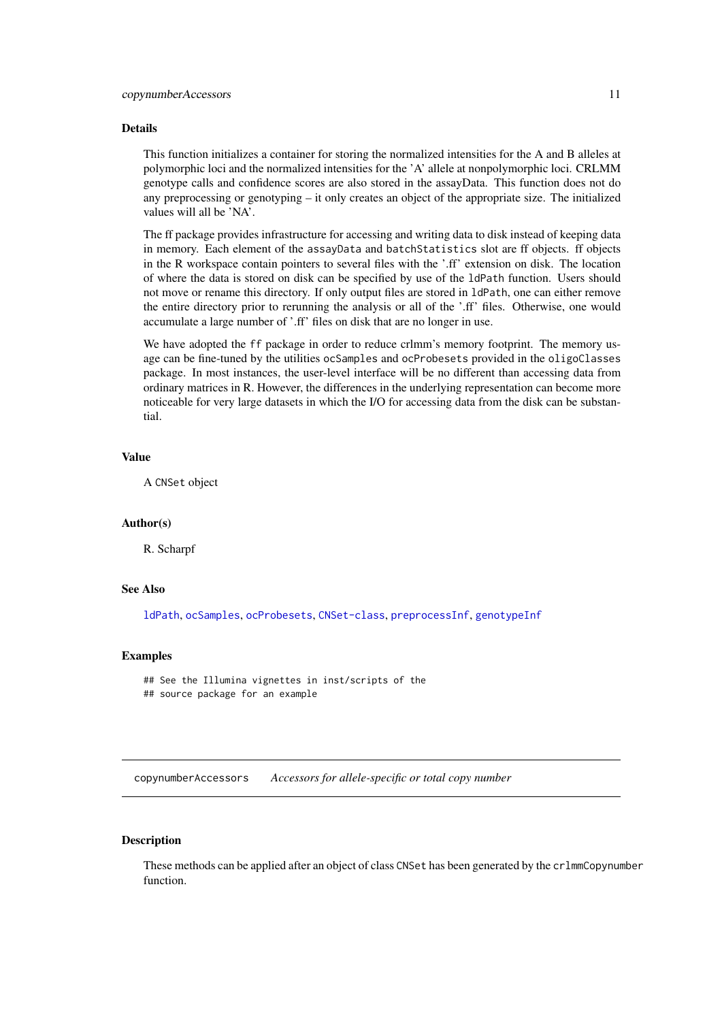#### <span id="page-10-0"></span>Details

This function initializes a container for storing the normalized intensities for the A and B alleles at polymorphic loci and the normalized intensities for the 'A' allele at nonpolymorphic loci. CRLMM genotype calls and confidence scores are also stored in the assayData. This function does not do any preprocessing or genotyping – it only creates an object of the appropriate size. The initialized values will all be 'NA'.

The ff package provides infrastructure for accessing and writing data to disk instead of keeping data in memory. Each element of the assayData and batchStatistics slot are ff objects. ff objects in the R workspace contain pointers to several files with the '.ff' extension on disk. The location of where the data is stored on disk can be specified by use of the ldPath function. Users should not move or rename this directory. If only output files are stored in ldPath, one can either remove the entire directory prior to rerunning the analysis or all of the '.ff' files. Otherwise, one would accumulate a large number of '.ff' files on disk that are no longer in use.

We have adopted the ff package in order to reduce crlmm's memory footprint. The memory usage can be fine-tuned by the utilities ocSamples and ocProbesets provided in the oligoClasses package. In most instances, the user-level interface will be no different than accessing data from ordinary matrices in R. However, the differences in the underlying representation can become more noticeable for very large datasets in which the I/O for accessing data from the disk can be substantial.

# Value

A CNSet object

#### Author(s)

R. Scharpf

# See Also

[ldPath](#page-0-0), [ocSamples](#page-0-0), [ocProbesets](#page-0-0), [CNSet-class](#page-0-0), [preprocessInf](#page-31-1), [genotypeInf](#page-23-1)

#### Examples

```
## See the Illumina vignettes in inst/scripts of the
## source package for an example
```
copynumberAccessors *Accessors for allele-specific or total copy number*

# <span id="page-10-1"></span>Description

These methods can be applied after an object of class CNSet has been generated by the crlmmCopynumber function.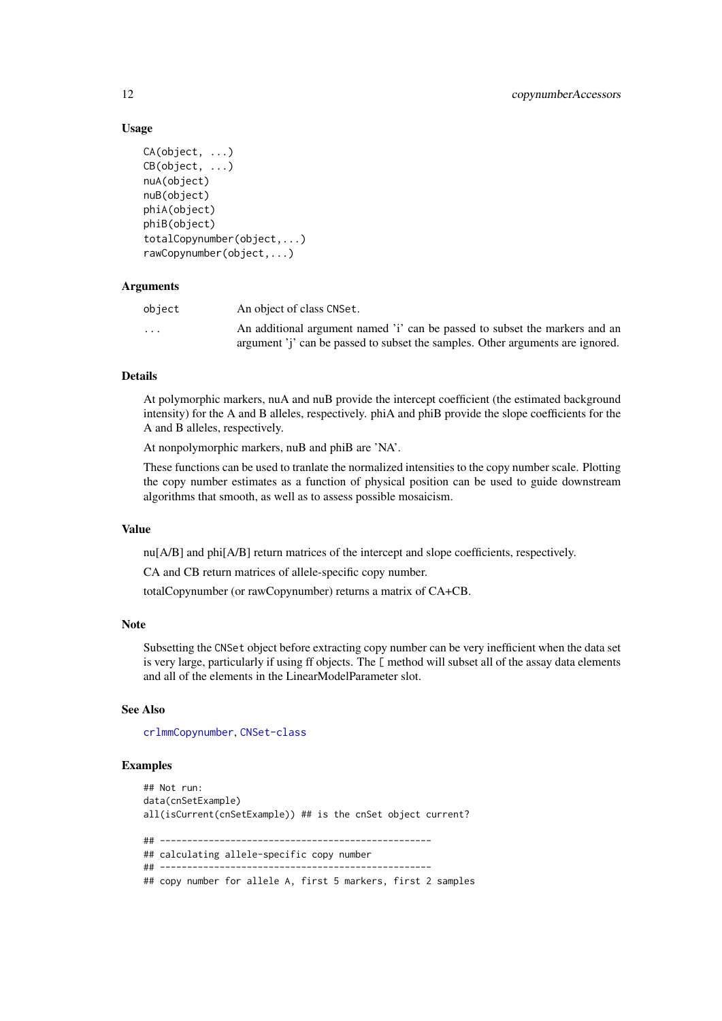# Usage

```
CA(object, ...)
CB(object, ...)
nuA(object)
nuB(object)
phiA(object)
phiB(object)
totalCopynumber(object,...)
rawCopynumber(object,...)
```
# Arguments

| obiect                  | An object of class CNSet.                                                      |
|-------------------------|--------------------------------------------------------------------------------|
| $\cdot$ $\cdot$ $\cdot$ | An additional argument named 'i' can be passed to subset the markers and an    |
|                         | argument 'j' can be passed to subset the samples. Other arguments are ignored. |

#### Details

At polymorphic markers, nuA and nuB provide the intercept coefficient (the estimated background intensity) for the A and B alleles, respectively. phiA and phiB provide the slope coefficients for the A and B alleles, respectively.

At nonpolymorphic markers, nuB and phiB are 'NA'.

These functions can be used to tranlate the normalized intensities to the copy number scale. Plotting the copy number estimates as a function of physical position can be used to guide downstream algorithms that smooth, as well as to assess possible mosaicism.

#### Value

nu[A/B] and phi[A/B] return matrices of the intercept and slope coefficients, respectively.

CA and CB return matrices of allele-specific copy number.

totalCopynumber (or rawCopynumber) returns a matrix of CA+CB.

#### Note

Subsetting the CNSet object before extracting copy number can be very inefficient when the data set is very large, particularly if using ff objects. The [ method will subset all of the assay data elements and all of the elements in the LinearModelParameter slot.

# See Also

[crlmmCopynumber](#page-14-1), [CNSet-class](#page-0-0)

#### Examples

```
## Not run:
data(cnSetExample)
all(isCurrent(cnSetExample)) ## is the cnSet object current?
## --------------------------------------------------
## calculating allele-specific copy number
## --------------------------------------------------
## copy number for allele A, first 5 markers, first 2 samples
```
<span id="page-11-0"></span>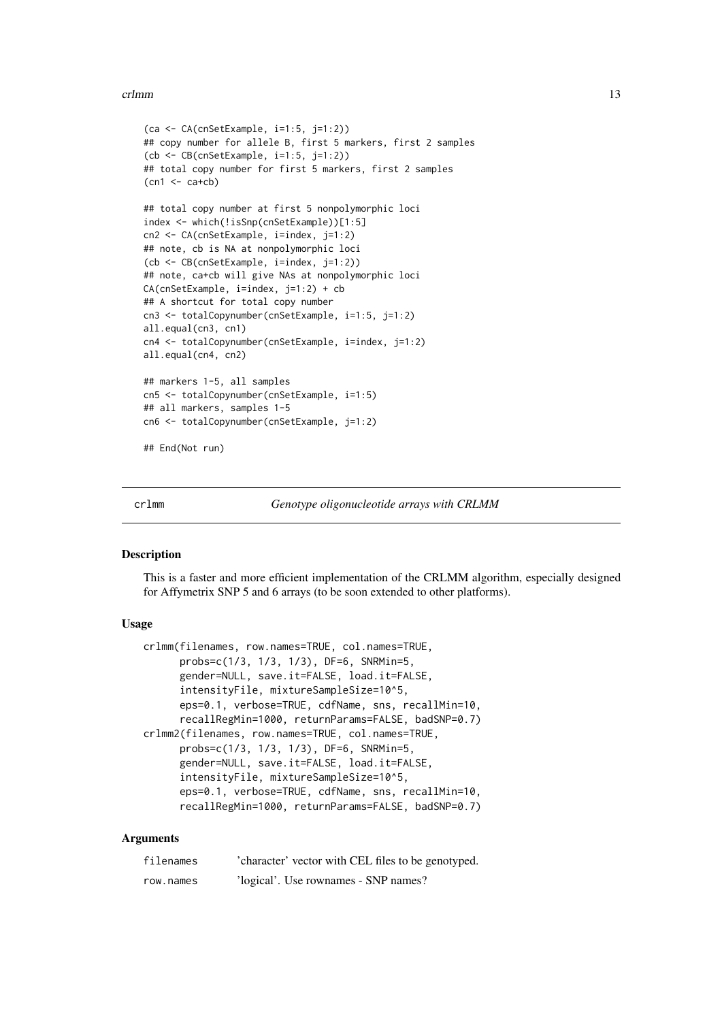#### <span id="page-12-0"></span>crlmm and the contract of the contract of the contract of the contract of the contract of the contract of the contract of the contract of the contract of the contract of the contract of the contract of the contract of the

```
(ca <- CA(cnSetExample, i=1:5, j=1:2))
## copy number for allele B, first 5 markers, first 2 samples
(cb <- CB(cnSetExample, i=1:5, j=1:2))
## total copy number for first 5 markers, first 2 samples
(\text{cn1} < - \text{ca+cb})## total copy number at first 5 nonpolymorphic loci
index <- which(!isSnp(cnSetExample))[1:5]
cn2 <- CA(cnSetExample, i=index, j=1:2)
## note, cb is NA at nonpolymorphic loci
(cb <- CB(cnSetExample, i=index, j=1:2))
## note, ca+cb will give NAs at nonpolymorphic loci
CA(\text{c}nSetExample, i=index, j=1:2) + cb## A shortcut for total copy number
cn3 <- totalCopynumber(cnSetExample, i=1:5, j=1:2)
all.equal(cn3, cn1)
cn4 <- totalCopynumber(cnSetExample, i=index, j=1:2)
all.equal(cn4, cn2)
## markers 1-5, all samples
cn5 <- totalCopynumber(cnSetExample, i=1:5)
## all markers, samples 1-5
cn6 <- totalCopynumber(cnSetExample, j=1:2)
## End(Not run)
```
<span id="page-12-1"></span>

```
crlmm Genotype oligonucleotide arrays with CRLMM
```
#### Description

This is a faster and more efficient implementation of the CRLMM algorithm, especially designed for Affymetrix SNP 5 and 6 arrays (to be soon extended to other platforms).

#### Usage

```
crlmm(filenames, row.names=TRUE, col.names=TRUE,
      probs=c(1/3, 1/3, 1/3), DF=6, SNRMin=5,
      gender=NULL, save.it=FALSE, load.it=FALSE,
      intensityFile, mixtureSampleSize=10^5,
      eps=0.1, verbose=TRUE, cdfName, sns, recallMin=10,
      recallRegMin=1000, returnParams=FALSE, badSNP=0.7)
crlmm2(filenames, row.names=TRUE, col.names=TRUE,
      probs=c(1/3, 1/3, 1/3), DF=6, SNRMin=5,
      gender=NULL, save.it=FALSE, load.it=FALSE,
      intensityFile, mixtureSampleSize=10^5,
      eps=0.1, verbose=TRUE, cdfName, sns, recallMin=10,
      recallRegMin=1000, returnParams=FALSE, badSNP=0.7)
```
#### Arguments

| filenames | 'character' vector with CEL files to be genotyped. |
|-----------|----------------------------------------------------|
| row.names | 'logical'. Use rownames - SNP names?               |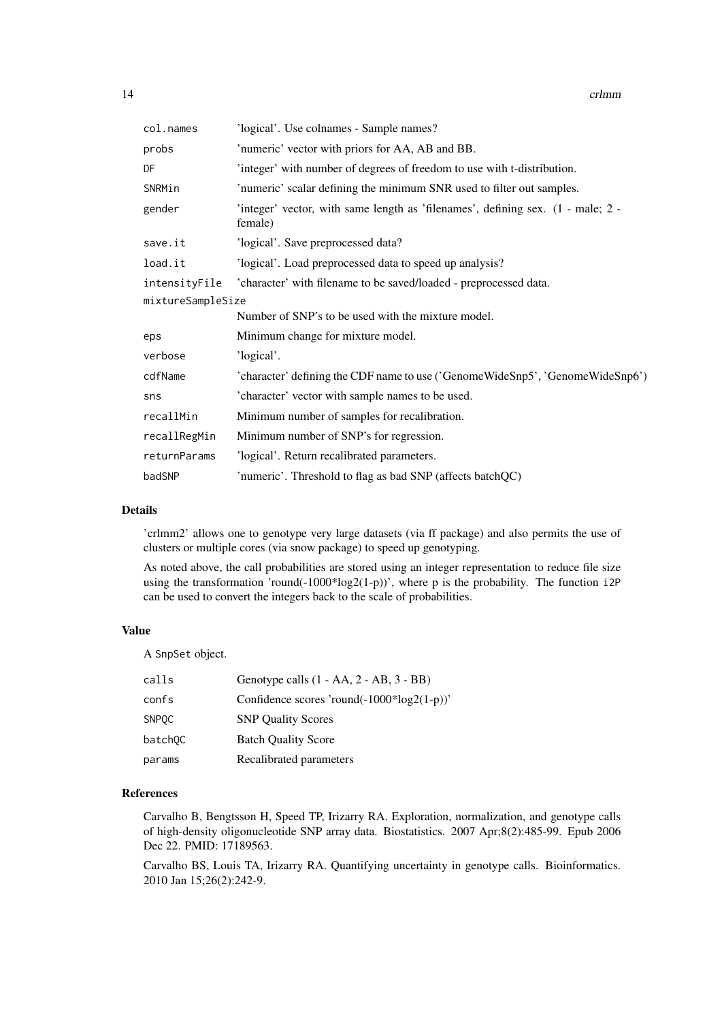| col.names         | 'logical'. Use colnames - Sample names?                                                    |
|-------------------|--------------------------------------------------------------------------------------------|
| probs             | 'numeric' vector with priors for AA, AB and BB.                                            |
| DF                | 'integer' with number of degrees of freedom to use with t-distribution.                    |
| SNRMin            | 'numeric' scalar defining the minimum SNR used to filter out samples.                      |
| gender            | 'integer' vector, with same length as 'filenames', defining sex. (1 - male; 2 -<br>female) |
| save.it           | 'logical'. Save preprocessed data?                                                         |
| load.it           | 'logical'. Load preprocessed data to speed up analysis?                                    |
| intensityFile     | 'character' with filename to be saved/loaded - preprocessed data.                          |
| mixtureSampleSize |                                                                                            |
|                   | Number of SNP's to be used with the mixture model.                                         |
| eps               | Minimum change for mixture model.                                                          |
| verbose           | 'logical'.                                                                                 |
| cdfName           | 'character' defining the CDF name to use ('GenomeWideSnp5', 'GenomeWideSnp6')              |
| sns               | 'character' vector with sample names to be used.                                           |
| recallMin         | Minimum number of samples for recalibration.                                               |
| recallRegMin      | Minimum number of SNP's for regression.                                                    |
| returnParams      | 'logical'. Return recalibrated parameters.                                                 |
| badSNP            | 'numeric'. Threshold to flag as bad SNP (affects batchQC)                                  |

#### Details

'crlmm2' allows one to genotype very large datasets (via ff package) and also permits the use of clusters or multiple cores (via snow package) to speed up genotyping.

As noted above, the call probabilities are stored using an integer representation to reduce file size using the transformation 'round(-1000\*log2(1-p))', where p is the probability. The function i2P can be used to convert the integers back to the scale of probabilities.

# Value

A SnpSet object.

| calls               | Genotype calls (1 - AA, 2 - AB, 3 - BB)        |
|---------------------|------------------------------------------------|
| confs               | Confidence scores 'round( $-1000*log2(1-p)$ )' |
| <b>SNPOC</b>        | <b>SNP Ouality Scores</b>                      |
| batch <sub>OC</sub> | <b>Batch Quality Score</b>                     |
| params              | Recalibrated parameters                        |

# References

Carvalho B, Bengtsson H, Speed TP, Irizarry RA. Exploration, normalization, and genotype calls of high-density oligonucleotide SNP array data. Biostatistics. 2007 Apr;8(2):485-99. Epub 2006 Dec 22. PMID: 17189563.

Carvalho BS, Louis TA, Irizarry RA. Quantifying uncertainty in genotype calls. Bioinformatics. 2010 Jan 15;26(2):242-9.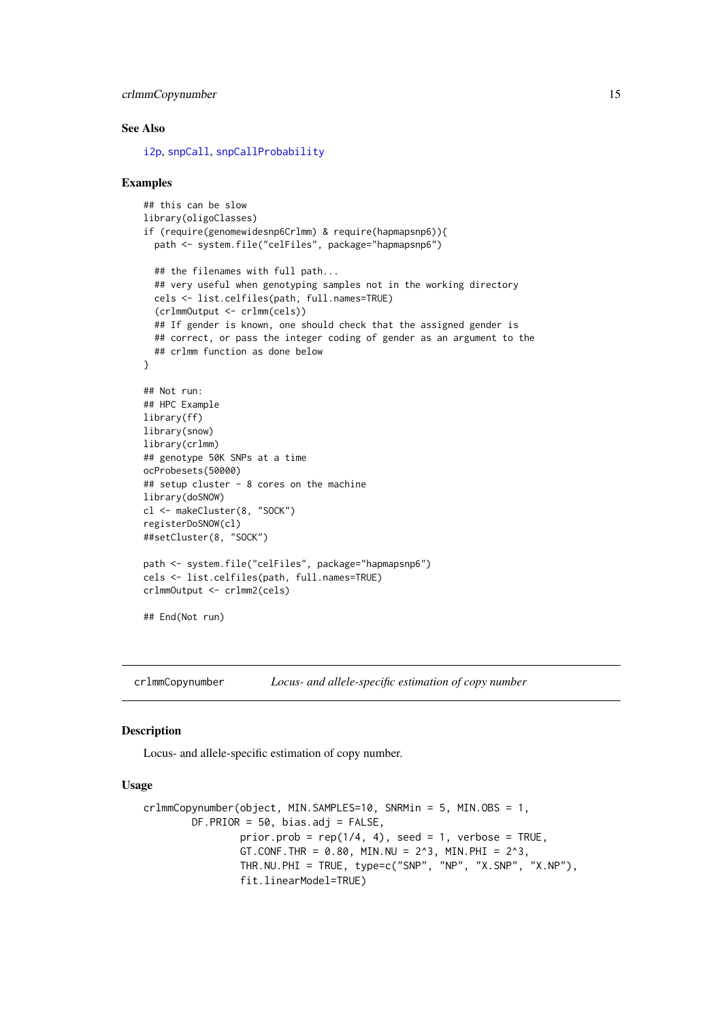#### <span id="page-14-0"></span>crlmmCopynumber 15

#### See Also

[i2p](#page-0-0), [snpCall](#page-0-0), [snpCallProbability](#page-0-0)

#### Examples

```
## this can be slow
library(oligoClasses)
if (require(genomewidesnp6Crlmm) & require(hapmapsnp6)){
  path <- system.file("celFiles", package="hapmapsnp6")
  ## the filenames with full path...
  ## very useful when genotyping samples not in the working directory
  cels <- list.celfiles(path, full.names=TRUE)
  (crlmmOutput <- crlmm(cels))
  ## If gender is known, one should check that the assigned gender is
 ## correct, or pass the integer coding of gender as an argument to the
  ## crlmm function as done below
}
## Not run:
## HPC Example
library(ff)
library(snow)
library(crlmm)
## genotype 50K SNPs at a time
ocProbesets(50000)
## setup cluster - 8 cores on the machine
library(doSNOW)
cl <- makeCluster(8, "SOCK")
registerDoSNOW(cl)
##setCluster(8, "SOCK")
path <- system.file("celFiles", package="hapmapsnp6")
cels <- list.celfiles(path, full.names=TRUE)
crlmmOutput <- crlmm2(cels)
## End(Not run)
```
<span id="page-14-1"></span>crlmmCopynumber *Locus- and allele-specific estimation of copy number*

#### Description

Locus- and allele-specific estimation of copy number.

#### Usage

```
crlmmCopynumber(object, MIN.SAMPLES=10, SNRMin = 5, MIN.OBS = 1,
        DF.PRIOR = 50, bias.adj = FALSE,
                prior.prob = rep(1/4, 4), seed = 1, verbose = TRUE,
                GT.CONF.THR = 0.80, MIN.NU = 2^3, MIN.PHI = 2^3,
                THR.NU.PHI = TRUE, type=c("SNP", "NP", "X.SNP", "X.NP"),
                fit.linearModel=TRUE)
```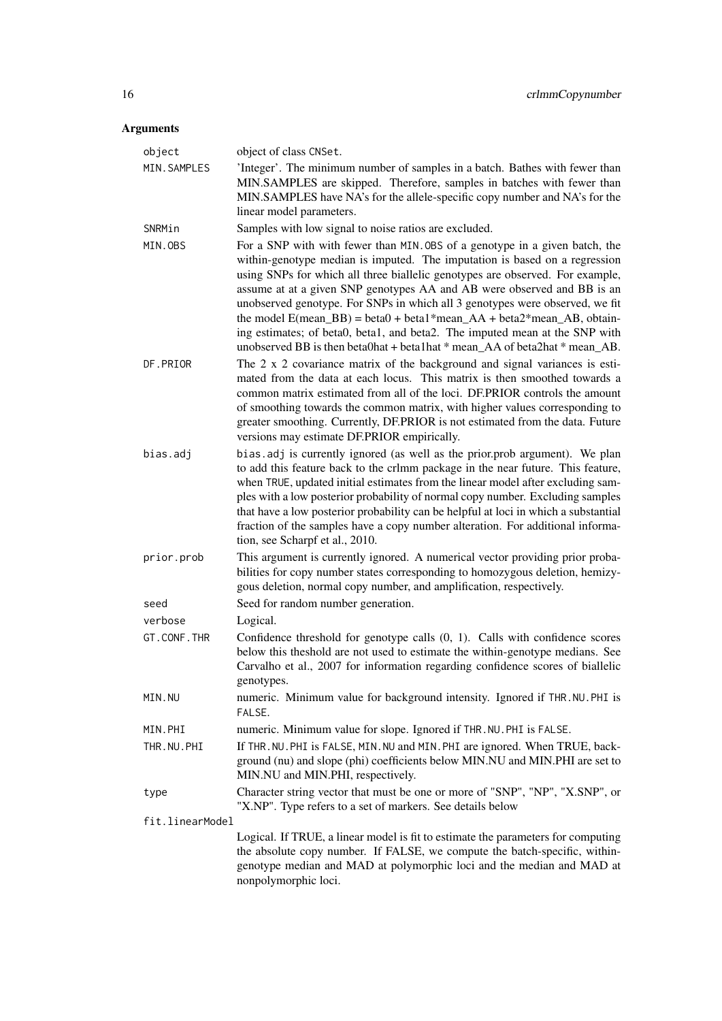# Arguments

| object          | object of class CNSet.                                                                                                                                                                                                                                                                                                                                                                                                                                                                                                                                                                                                                                                        |
|-----------------|-------------------------------------------------------------------------------------------------------------------------------------------------------------------------------------------------------------------------------------------------------------------------------------------------------------------------------------------------------------------------------------------------------------------------------------------------------------------------------------------------------------------------------------------------------------------------------------------------------------------------------------------------------------------------------|
| MIN. SAMPLES    | 'Integer'. The minimum number of samples in a batch. Bathes with fewer than<br>MIN.SAMPLES are skipped. Therefore, samples in batches with fewer than<br>MIN.SAMPLES have NA's for the allele-specific copy number and NA's for the<br>linear model parameters.                                                                                                                                                                                                                                                                                                                                                                                                               |
| SNRMin          | Samples with low signal to noise ratios are excluded.                                                                                                                                                                                                                                                                                                                                                                                                                                                                                                                                                                                                                         |
| MIN.OBS         | For a SNP with with fewer than MIN. OBS of a genotype in a given batch, the<br>within-genotype median is imputed. The imputation is based on a regression<br>using SNPs for which all three biallelic genotypes are observed. For example,<br>assume at at a given SNP genotypes AA and AB were observed and BB is an<br>unobserved genotype. For SNPs in which all 3 genotypes were observed, we fit<br>the model $E(\text{mean\_BB}) = \text{beta0} + \text{beta1*mean\_AA} + \text{beta2*mean\_AB}$ , obtain-<br>ing estimates; of beta0, beta1, and beta2. The imputed mean at the SNP with<br>unobserved BB is then beta0hat + beta1hat * mean_AA of beta2hat * mean_AB. |
| DF.PRIOR        | The 2 x 2 covariance matrix of the background and signal variances is esti-<br>mated from the data at each locus. This matrix is then smoothed towards a<br>common matrix estimated from all of the loci. DF.PRIOR controls the amount<br>of smoothing towards the common matrix, with higher values corresponding to<br>greater smoothing. Currently, DF.PRIOR is not estimated from the data. Future<br>versions may estimate DF.PRIOR empirically.                                                                                                                                                                                                                         |
| bias.adj        | bias.adj is currently ignored (as well as the prior.prob argument). We plan<br>to add this feature back to the crlmm package in the near future. This feature,<br>when TRUE, updated initial estimates from the linear model after excluding sam-<br>ples with a low posterior probability of normal copy number. Excluding samples<br>that have a low posterior probability can be helpful at loci in which a substantial<br>fraction of the samples have a copy number alteration. For additional informa-<br>tion, see Scharpf et al., 2010.                                                                                                                               |
| prior.prob      | This argument is currently ignored. A numerical vector providing prior proba-<br>bilities for copy number states corresponding to homozygous deletion, hemizy-<br>gous deletion, normal copy number, and amplification, respectively.                                                                                                                                                                                                                                                                                                                                                                                                                                         |
| seed            | Seed for random number generation.                                                                                                                                                                                                                                                                                                                                                                                                                                                                                                                                                                                                                                            |
| verbose         | Logical.                                                                                                                                                                                                                                                                                                                                                                                                                                                                                                                                                                                                                                                                      |
| GT.CONF.THR     | Confidence threshold for genotype calls $(0, 1)$ . Calls with confidence scores<br>below this theshold are not used to estimate the within-genotype medians. See<br>Carvalho et al., 2007 for information regarding confidence scores of biallelic<br>genotypes.                                                                                                                                                                                                                                                                                                                                                                                                              |
| MIN.NU          | numeric. Minimum value for background intensity. Ignored if THR. NU. PHI is<br>FALSE.                                                                                                                                                                                                                                                                                                                                                                                                                                                                                                                                                                                         |
| MIN.PHI         | numeric. Minimum value for slope. Ignored if THR. NU. PHI is FALSE.                                                                                                                                                                                                                                                                                                                                                                                                                                                                                                                                                                                                           |
| THR.NU.PHI      | If THR. NU. PHI is FALSE, MIN. NU and MIN. PHI are ignored. When TRUE, back-<br>ground (nu) and slope (phi) coefficients below MIN.NU and MIN.PHI are set to<br>MIN.NU and MIN.PHI, respectively.                                                                                                                                                                                                                                                                                                                                                                                                                                                                             |
| type            | Character string vector that must be one or more of "SNP", "NP", "X.SNP", or<br>"X.NP". Type refers to a set of markers. See details below                                                                                                                                                                                                                                                                                                                                                                                                                                                                                                                                    |
| fit.linearModel |                                                                                                                                                                                                                                                                                                                                                                                                                                                                                                                                                                                                                                                                               |
|                 | Logical. If TRUE, a linear model is fit to estimate the parameters for computing<br>the absolute copy number. If FALSE, we compute the batch-specific, within-<br>genotype median and MAD at polymorphic loci and the median and MAD at                                                                                                                                                                                                                                                                                                                                                                                                                                       |

nonpolymorphic loci.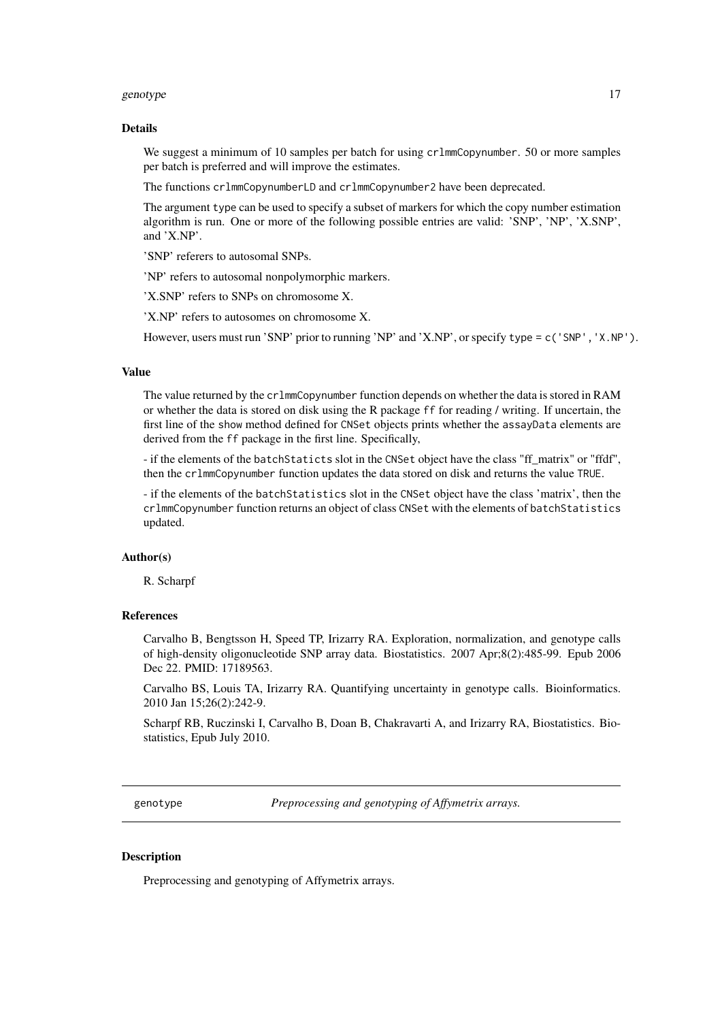#### <span id="page-16-0"></span>genotype that the set of the set of the set of the set of the set of the set of the set of the set of the set of the set of the set of the set of the set of the set of the set of the set of the set of the set of the set of

#### Details

We suggest a minimum of 10 samples per batch for using crlmmCopynumber. 50 or more samples per batch is preferred and will improve the estimates.

The functions crlmmCopynumberLD and crlmmCopynumber2 have been deprecated.

The argument type can be used to specify a subset of markers for which the copy number estimation algorithm is run. One or more of the following possible entries are valid: 'SNP', 'NP', 'X.SNP', and 'X.NP'.

'SNP' referers to autosomal SNPs.

'NP' refers to autosomal nonpolymorphic markers.

'X.SNP' refers to SNPs on chromosome X.

'X.NP' refers to autosomes on chromosome X.

However, users must run 'SNP' prior to running 'NP' and 'X.NP', or specify type = c('SNP', 'X.NP').

#### Value

The value returned by the crlmmCopynumber function depends on whether the data is stored in RAM or whether the data is stored on disk using the R package ff for reading / writing. If uncertain, the first line of the show method defined for CNSet objects prints whether the assayData elements are derived from the ff package in the first line. Specifically,

- if the elements of the batchStaticts slot in the CNSet object have the class "ff\_matrix" or "ffdf", then the crlmmCopynumber function updates the data stored on disk and returns the value TRUE.

- if the elements of the batchStatistics slot in the CNSet object have the class 'matrix', then the crlmmCopynumber function returns an object of class CNSet with the elements of batchStatistics updated.

#### Author(s)

R. Scharpf

# References

Carvalho B, Bengtsson H, Speed TP, Irizarry RA. Exploration, normalization, and genotype calls of high-density oligonucleotide SNP array data. Biostatistics. 2007 Apr;8(2):485-99. Epub 2006 Dec 22. PMID: 17189563.

Carvalho BS, Louis TA, Irizarry RA. Quantifying uncertainty in genotype calls. Bioinformatics. 2010 Jan 15;26(2):242-9.

Scharpf RB, Ruczinski I, Carvalho B, Doan B, Chakravarti A, and Irizarry RA, Biostatistics. Biostatistics, Epub July 2010.

genotype *Preprocessing and genotyping of Affymetrix arrays.*

#### Description

Preprocessing and genotyping of Affymetrix arrays.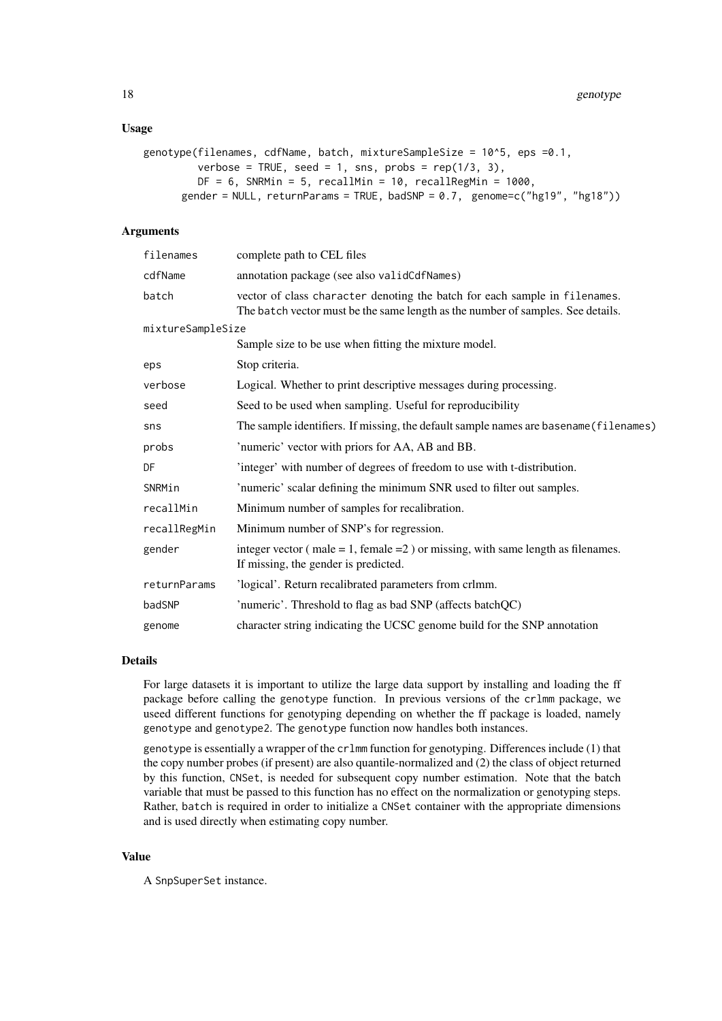# Usage

```
genotype(filenames, cdfName, batch, mixtureSampleSize = 10^5, eps =0.1,
         verbose = TRUE, seed = 1, sns, probs = rep(1/3, 3),
         DF = 6, SNRMin = 5, recallMin = 10, recallRegMin = 1000,
      gender = NULL, returnParams = TRUE, badSNP = 0.7, genome=c("hg19", "hg18"))
```
# Arguments

| filenames         | complete path to CEL files                                                                                                                                    |
|-------------------|---------------------------------------------------------------------------------------------------------------------------------------------------------------|
| cdfName           | annotation package (see also validCdfNames)                                                                                                                   |
| batch             | vector of class character denoting the batch for each sample in filenames.<br>The batch vector must be the same length as the number of samples. See details. |
| mixtureSampleSize |                                                                                                                                                               |
|                   | Sample size to be use when fitting the mixture model.                                                                                                         |
| eps               | Stop criteria.                                                                                                                                                |
| verbose           | Logical. Whether to print descriptive messages during processing.                                                                                             |
| seed              | Seed to be used when sampling. Useful for reproducibility                                                                                                     |
| sns               | The sample identifiers. If missing, the default sample names are basename (filenames)                                                                         |
| probs             | 'numeric' vector with priors for AA, AB and BB.                                                                                                               |
| DF                | 'integer' with number of degrees of freedom to use with t-distribution.                                                                                       |
| SNRMin            | 'numeric' scalar defining the minimum SNR used to filter out samples.                                                                                         |
| recallMin         | Minimum number of samples for recalibration.                                                                                                                  |
| recallRegMin      | Minimum number of SNP's for regression.                                                                                                                       |
| gender            | integer vector ( $male = 1$ , $female = 2$ ) or missing, with same length as filenames.<br>If missing, the gender is predicted.                               |
| returnParams      | 'logical'. Return recalibrated parameters from crlmm.                                                                                                         |
| badSNP            | 'numeric'. Threshold to flag as bad SNP (affects batchQC)                                                                                                     |
| genome            | character string indicating the UCSC genome build for the SNP annotation                                                                                      |

#### Details

For large datasets it is important to utilize the large data support by installing and loading the ff package before calling the genotype function. In previous versions of the crlmm package, we useed different functions for genotyping depending on whether the ff package is loaded, namely genotype and genotype2. The genotype function now handles both instances.

genotype is essentially a wrapper of the crlmm function for genotyping. Differences include (1) that the copy number probes (if present) are also quantile-normalized and (2) the class of object returned by this function, CNSet, is needed for subsequent copy number estimation. Note that the batch variable that must be passed to this function has no effect on the normalization or genotyping steps. Rather, batch is required in order to initialize a CNSet container with the appropriate dimensions and is used directly when estimating copy number.

# Value

A SnpSuperSet instance.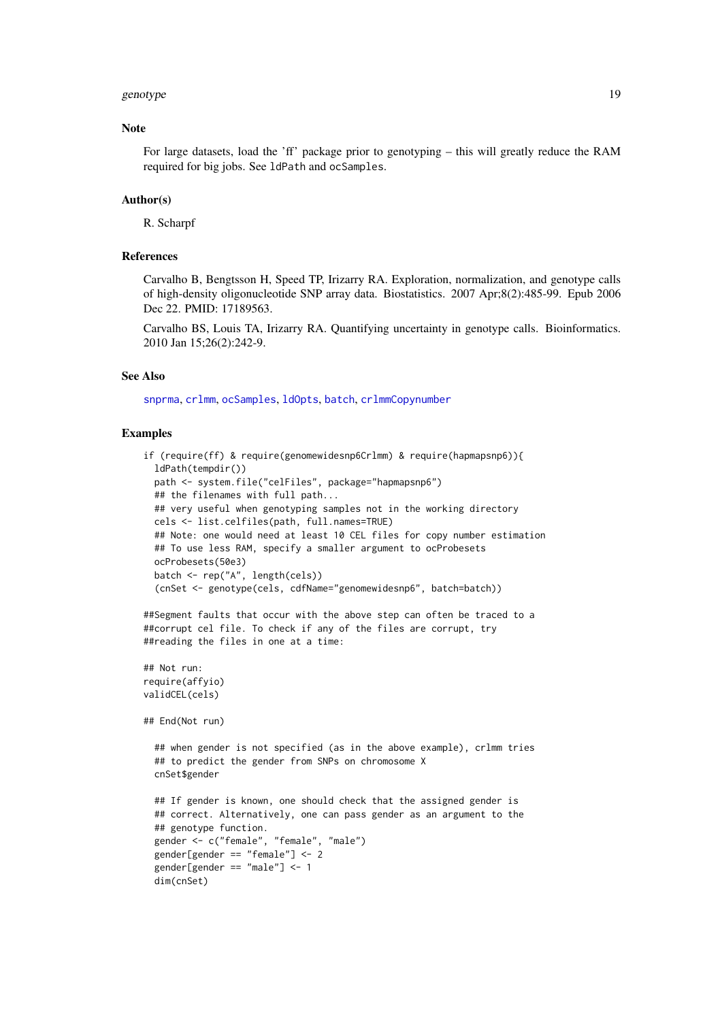#### <span id="page-18-0"></span>genotype and the set of the set of the set of the set of the set of the set of the set of the set of the set of the set of the set of the set of the set of the set of the set of the set of the set of the set of the set of

#### Note

For large datasets, load the 'ff' package prior to genotyping – this will greatly reduce the RAM required for big jobs. See ldPath and ocSamples.

# Author(s)

R. Scharpf

## References

Carvalho B, Bengtsson H, Speed TP, Irizarry RA. Exploration, normalization, and genotype calls of high-density oligonucleotide SNP array data. Biostatistics. 2007 Apr;8(2):485-99. Epub 2006 Dec 22. PMID: 17189563.

Carvalho BS, Louis TA, Irizarry RA. Quantifying uncertainty in genotype calls. Bioinformatics. 2010 Jan 15;26(2):242-9.

#### See Also

[snprma](#page-35-1), [crlmm](#page-12-1), [ocSamples](#page-0-0), [ldOpts](#page-0-0), [batch](#page-0-0), [crlmmCopynumber](#page-14-1)

#### Examples

```
if (require(ff) & require(genomewidesnp6Crlmm) & require(hapmapsnp6)){
  ldPath(tempdir())
  path <- system.file("celFiles", package="hapmapsnp6")
  ## the filenames with full path...
  ## very useful when genotyping samples not in the working directory
  cels <- list.celfiles(path, full.names=TRUE)
  ## Note: one would need at least 10 CEL files for copy number estimation
  ## To use less RAM, specify a smaller argument to ocProbesets
 ocProbesets(50e3)
 batch <- rep("A", length(cels))
  (cnSet <- genotype(cels, cdfName="genomewidesnp6", batch=batch))
##Segment faults that occur with the above step can often be traced to a
##corrupt cel file. To check if any of the files are corrupt, try
##reading the files in one at a time:
## Not run:
require(affyio)
validCEL(cels)
## End(Not run)
  ## when gender is not specified (as in the above example), crlmm tries
  ## to predict the gender from SNPs on chromosome X
  cnSet$gender
  ## If gender is known, one should check that the assigned gender is
  ## correct. Alternatively, one can pass gender as an argument to the
  ## genotype function.
  gender <- c("female", "female", "male")
  gender[gender == "female"] <- 2
  gender[gender == "male"] <- 1
  dim(cnSet)
```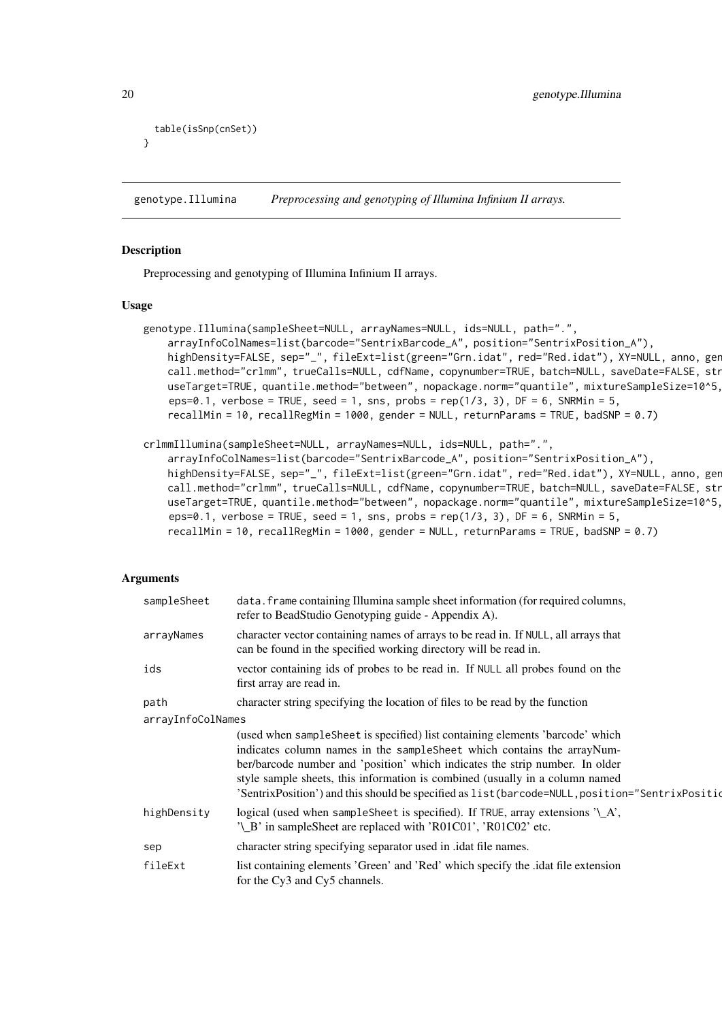```
20 genotype.Illumina
```

```
table(isSnp(cnSet))
}
```
<span id="page-19-1"></span>genotype.Illumina *Preprocessing and genotyping of Illumina Infinium II arrays.*

#### Description

Preprocessing and genotyping of Illumina Infinium II arrays.

#### Usage

```
genotype.Illumina(sampleSheet=NULL, arrayNames=NULL, ids=NULL, path=".",
    arrayInfoColNames=list(barcode="SentrixBarcode_A", position="SentrixPosition_A"),
    highDensity=FALSE, sep="_", fileExt=list(green="Grn.idat", red="Red.idat"), XY=NULL, anno, gen
    call.method="crlmm", trueCalls=NULL, cdfName, copynumber=TRUE, batch=NULL, saveDate=FALSE, str
    useTarget=TRUE, quantile.method="between", nopackage.norm="quantile", mixtureSampleSize=10^5,
    eps=0.1, verbose = TRUE, seed = 1, sns, probs = rep(1/3, 3), DF = 6, SNRMin = 5,
    recallMin = 10, recallRegMin = 1000, gender = NULL, returnParams = TRUE, badSNP = 0.7)
```

```
crlmmIllumina(sampleSheet=NULL, arrayNames=NULL, ids=NULL, path=".",
```
arrayInfoColNames=list(barcode="SentrixBarcode\_A", position="SentrixPosition\_A"), highDensity=FALSE, sep="\_", fileExt=list(green="Grn.idat", red="Red.idat"), XY=NULL, anno, gen call.method="crlmm", trueCalls=NULL, cdfName, copynumber=TRUE, batch=NULL, saveDate=FALSE, str useTarget=TRUE, quantile.method="between", nopackage.norm="quantile", mixtureSampleSize=10^5, eps=0.1, verbose = TRUE, seed = 1, sns, probs =  $rep(1/3, 3)$ , DF = 6, SNRMin = 5,

```
recallMin = 10, recallRegMin = 1000, gender = NULL, returnParams = TRUE, badSNP = 0.7)
```
#### Arguments

| sampleSheet       | data. frame containing Illumina sample sheet information (for required columns,<br>refer to BeadStudio Genotyping guide - Appendix A).                                                                                                                                                                                                                                                                                     |  |
|-------------------|----------------------------------------------------------------------------------------------------------------------------------------------------------------------------------------------------------------------------------------------------------------------------------------------------------------------------------------------------------------------------------------------------------------------------|--|
| arrayNames        | character vector containing names of arrays to be read in. If NULL, all arrays that<br>can be found in the specified working directory will be read in.                                                                                                                                                                                                                                                                    |  |
| ids               | vector containing ids of probes to be read in. If NULL all probes found on the<br>first array are read in.                                                                                                                                                                                                                                                                                                                 |  |
| path              | character string specifying the location of files to be read by the function                                                                                                                                                                                                                                                                                                                                               |  |
| arrayInfoColNames |                                                                                                                                                                                                                                                                                                                                                                                                                            |  |
|                   | (used when sampleSheet is specified) list containing elements 'barcode' which<br>indicates column names in the sampleSheet which contains the arrayNum-<br>ber/barcode number and 'position' which indicates the strip number. In older<br>style sample sheets, this information is combined (usually in a column named<br>'SentrixPosition') and this should be specified as list (barcode=NULL, position="SentrixPositio |  |
| highDensity       | logical (used when sample Sheet is specified). If TRUE, array extensions $'\_A$ ,<br>'\_B' in sampleSheet are replaced with 'R01C01', 'R01C02' etc.                                                                                                                                                                                                                                                                        |  |
| sep               | character string specifying separator used in .idat file names.                                                                                                                                                                                                                                                                                                                                                            |  |
| fileExt           | list containing elements 'Green' and 'Red' which specify the .idat file extension<br>for the Cy3 and Cy5 channels.                                                                                                                                                                                                                                                                                                         |  |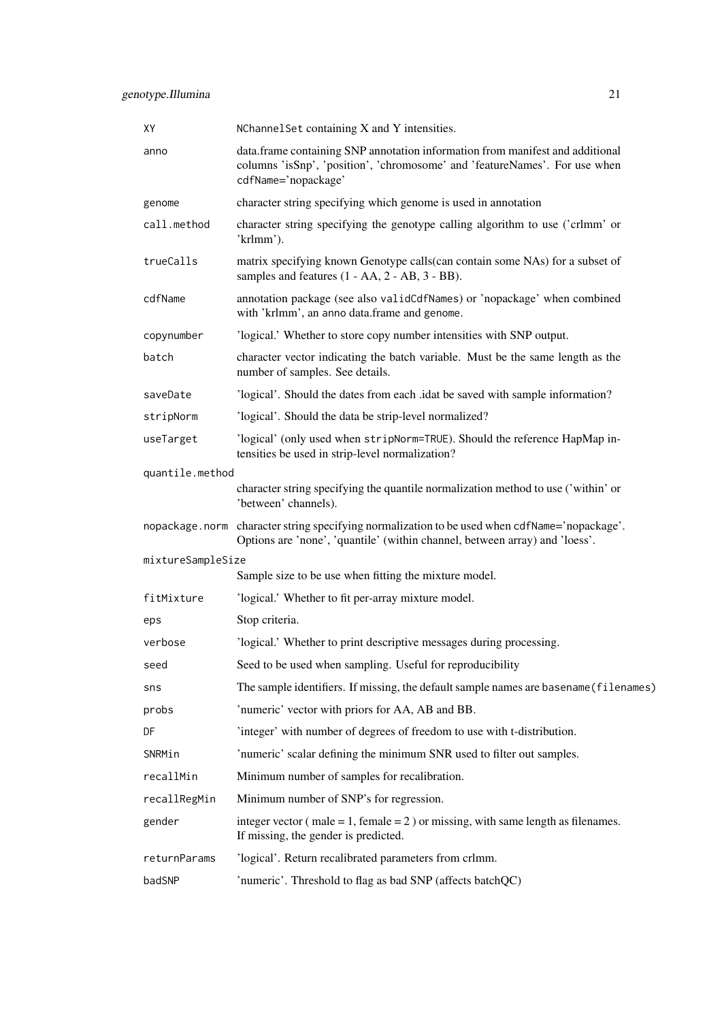| XY                | NChannelSet containing X and Y intensities.                                                                                                                                        |
|-------------------|------------------------------------------------------------------------------------------------------------------------------------------------------------------------------------|
| anno              | data.frame containing SNP annotation information from manifest and additional<br>columns 'isSnp', 'position', 'chromosome' and 'featureNames'. For use when<br>cdfName='nopackage' |
| genome            | character string specifying which genome is used in annotation                                                                                                                     |
| call.method       | character string specifying the genotype calling algorithm to use ('crlmm' or<br>'krlmm').                                                                                         |
| trueCalls         | matrix specifying known Genotype calls (can contain some NAs) for a subset of<br>samples and features $(1 - AA, 2 - AB, 3 - BB)$ .                                                 |
| cdfName           | annotation package (see also validCdfNames) or 'nopackage' when combined<br>with 'krlmm', an anno data.frame and genome.                                                           |
| copynumber        | 'logical.' Whether to store copy number intensities with SNP output.                                                                                                               |
| batch             | character vector indicating the batch variable. Must be the same length as the<br>number of samples. See details.                                                                  |
| saveDate          | 'logical'. Should the dates from each .idat be saved with sample information?                                                                                                      |
| stripNorm         | 'logical'. Should the data be strip-level normalized?                                                                                                                              |
| useTarget         | 'logical' (only used when stripNorm=TRUE). Should the reference HapMap in-<br>tensities be used in strip-level normalization?                                                      |
| quantile.method   |                                                                                                                                                                                    |
|                   | character string specifying the quantile normalization method to use ('within' or<br>'between' channels).                                                                          |
|                   | nopackage.norm character string specifying normalization to be used when cdfName='nopackage'.<br>Options are 'none', 'quantile' (within channel, between array) and 'loess'.       |
| mixtureSampleSize |                                                                                                                                                                                    |
|                   | Sample size to be use when fitting the mixture model.                                                                                                                              |
| fitMixture        | 'logical.' Whether to fit per-array mixture model.                                                                                                                                 |
| eps               | Stop criteria.                                                                                                                                                                     |
| verbose           | 'logical.' Whether to print descriptive messages during processing.                                                                                                                |
| seed              | Seed to be used when sampling. Useful for reproducibility                                                                                                                          |
| sns               | The sample identifiers. If missing, the default sample names are basename (filenames)                                                                                              |
| probs             | 'numeric' vector with priors for AA, AB and BB.                                                                                                                                    |
| DF                | 'integer' with number of degrees of freedom to use with t-distribution.                                                                                                            |
| SNRMin            | 'numeric' scalar defining the minimum SNR used to filter out samples.                                                                                                              |
| recallMin         | Minimum number of samples for recalibration.                                                                                                                                       |
| recallRegMin      | Minimum number of SNP's for regression.                                                                                                                                            |
| gender            | integer vector ( $male = 1$ , $female = 2$ ) or missing, with same length as filenames.<br>If missing, the gender is predicted.                                                    |
| returnParams      | 'logical'. Return recalibrated parameters from crlmm.                                                                                                                              |
| badSNP            | 'numeric'. Threshold to flag as bad SNP (affects batchQC)                                                                                                                          |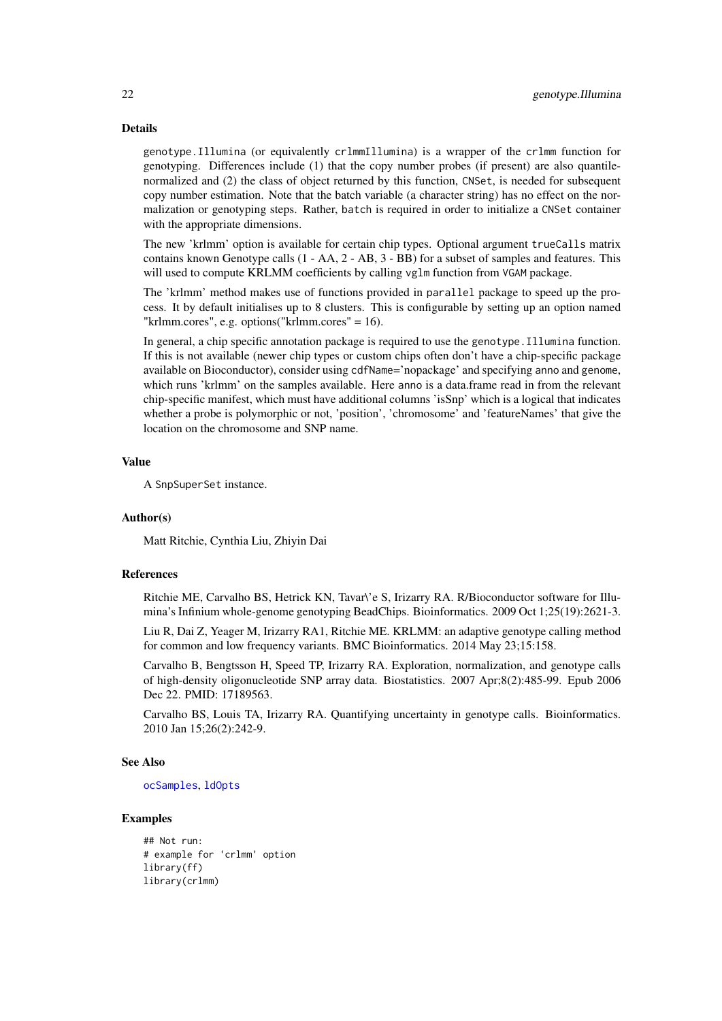#### Details

genotype.Illumina (or equivalently crlmmIllumina) is a wrapper of the crlmm function for genotyping. Differences include (1) that the copy number probes (if present) are also quantilenormalized and (2) the class of object returned by this function, CNSet, is needed for subsequent copy number estimation. Note that the batch variable (a character string) has no effect on the normalization or genotyping steps. Rather, batch is required in order to initialize a CNSet container with the appropriate dimensions.

The new 'krlmm' option is available for certain chip types. Optional argument trueCalls matrix contains known Genotype calls (1 - AA, 2 - AB, 3 - BB) for a subset of samples and features. This will used to compute KRLMM coefficients by calling vglm function from VGAM package.

The 'krlmm' method makes use of functions provided in parallel package to speed up the process. It by default initialises up to 8 clusters. This is configurable by setting up an option named "krlmm.cores", e.g. options("krlmm.cores" = 16).

In general, a chip specific annotation package is required to use the genotype.Illumina function. If this is not available (newer chip types or custom chips often don't have a chip-specific package available on Bioconductor), consider using cdfName='nopackage' and specifying anno and genome, which runs 'krlmm' on the samples available. Here anno is a data.frame read in from the relevant chip-specific manifest, which must have additional columns 'isSnp' which is a logical that indicates whether a probe is polymorphic or not, 'position', 'chromosome' and 'featureNames' that give the location on the chromosome and SNP name.

#### Value

A SnpSuperSet instance.

#### Author(s)

Matt Ritchie, Cynthia Liu, Zhiyin Dai

#### References

Ritchie ME, Carvalho BS, Hetrick KN, Tavar\'e S, Irizarry RA. R/Bioconductor software for Illumina's Infinium whole-genome genotyping BeadChips. Bioinformatics. 2009 Oct 1;25(19):2621-3.

Liu R, Dai Z, Yeager M, Irizarry RA1, Ritchie ME. KRLMM: an adaptive genotype calling method for common and low frequency variants. BMC Bioinformatics. 2014 May 23;15:158.

Carvalho B, Bengtsson H, Speed TP, Irizarry RA. Exploration, normalization, and genotype calls of high-density oligonucleotide SNP array data. Biostatistics. 2007 Apr;8(2):485-99. Epub 2006 Dec 22. PMID: 17189563.

Carvalho BS, Louis TA, Irizarry RA. Quantifying uncertainty in genotype calls. Bioinformatics. 2010 Jan 15;26(2):242-9.

# See Also

[ocSamples](#page-0-0), [ldOpts](#page-0-0)

#### Examples

```
## Not run:
# example for 'crlmm' option
library(ff)
library(crlmm)
```
<span id="page-21-0"></span>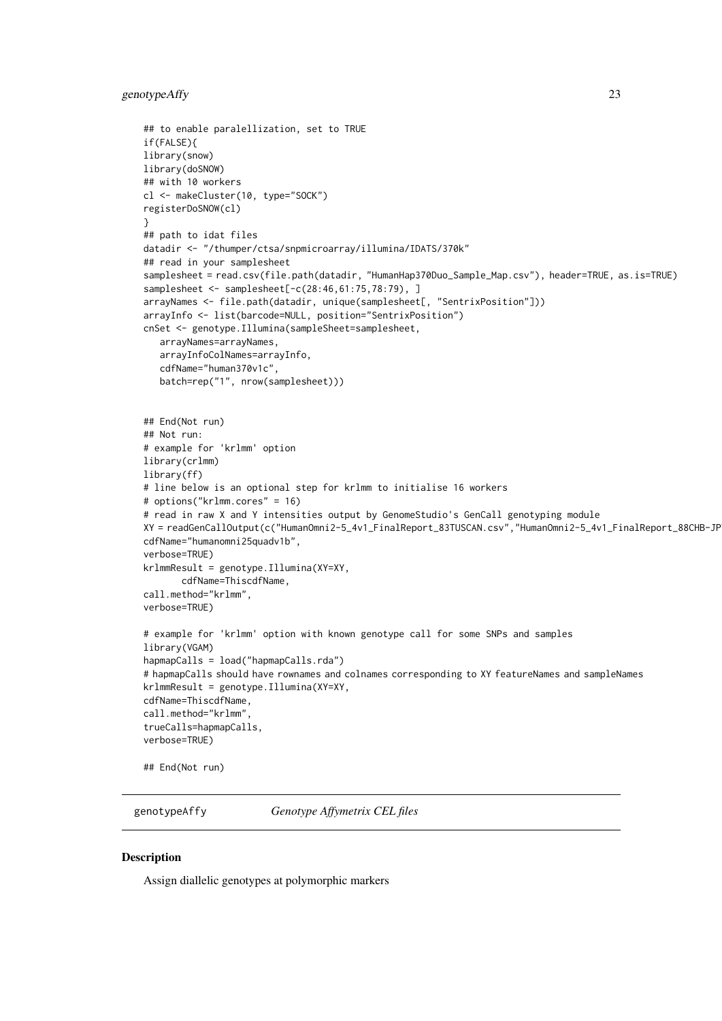#### <span id="page-22-0"></span>genotypeAffy 23

```
## to enable paralellization, set to TRUE
if(FALSE){
library(snow)
library(doSNOW)
## with 10 workers
cl <- makeCluster(10, type="SOCK")
registerDoSNOW(cl)
}
## path to idat files
datadir <- "/thumper/ctsa/snpmicroarray/illumina/IDATS/370k"
## read in your samplesheet
samplesheet = read.csv(file.path(datadir, "HumanHap370Duo_Sample_Map.csv"), header=TRUE, as.is=TRUE)
samplesheet <- samplesheet[-c(28:46,61:75,78:79), ]
arrayNames <- file.path(datadir, unique(samplesheet[, "SentrixPosition"]))
arrayInfo <- list(barcode=NULL, position="SentrixPosition")
cnSet <- genotype.Illumina(sampleSheet=samplesheet,
   arrayNames=arrayNames,
   arrayInfoColNames=arrayInfo,
   cdfName="human370v1c",
   batch=rep("1", nrow(samplesheet)))
## End(Not run)
## Not run:
# example for 'krlmm' option
library(crlmm)
library(ff)
# line below is an optional step for krlmm to initialise 16 workers
# options("krlmm.cores" = 16)
# read in raw X and Y intensities output by GenomeStudio's GenCall genotyping module
XY = readGenCallOutput(c("HumanOmni2-5_4v1_FinalReport_83TUSCAN.csv","HumanOmni2-5_4v1_FinalReport_88CHB-JP
cdfName="humanomni25quadv1b",
verbose=TRUE)
krlmmResult = genotype.Illumina(XY=XY,
       cdfName=ThiscdfName,
call.method="krlmm",
verbose=TRUE)
# example for 'krlmm' option with known genotype call for some SNPs and samples
library(VGAM)
hapmapCalls = load("hapmapCalls.rda")
# hapmapCalls should have rownames and colnames corresponding to XY featureNames and sampleNames
krlmmResult = genotype.Illumina(XY=XY,
cdfName=ThiscdfName,
call.method="krlmm",
trueCalls=hapmapCalls,
verbose=TRUE)
## End(Not run)
```
genotypeAffy *Genotype Affymetrix CEL files*

#### Description

Assign diallelic genotypes at polymorphic markers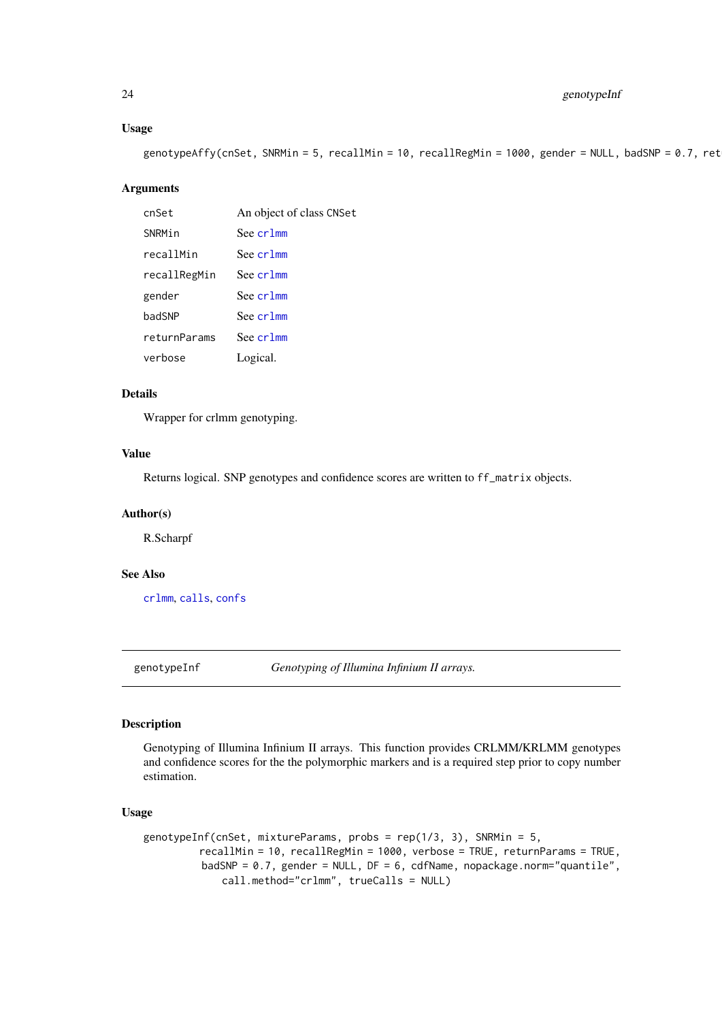# Usage

genotypeAffy(cnSet, SNRMin = 5, recallMin = 10, recallRegMin = 1000, gender = NULL, badSNP = 0.7, ret

# Arguments

| cnSet        | An object of class CNSet |
|--------------|--------------------------|
| SNRMin       | See crlmm                |
| recallMin    | See cr1mm                |
| recallRegMin | See cr1mm                |
| gender       | See cr1mm                |
| badSNP       | See cr1mm                |
| returnParams | See cr1mm                |
| verbose      | Logical.                 |

# Details

Wrapper for crlmm genotyping.

# Value

Returns logical. SNP genotypes and confidence scores are written to ff\_matrix objects.

# Author(s)

R.Scharpf

#### See Also

[crlmm](#page-12-1), [calls](#page-0-0), [confs](#page-0-0)

<span id="page-23-1"></span>genotypeInf *Genotyping of Illumina Infinium II arrays.*

# Description

Genotyping of Illumina Infinium II arrays. This function provides CRLMM/KRLMM genotypes and confidence scores for the the polymorphic markers and is a required step prior to copy number estimation.

#### Usage

```
genotypeInf(cnSet, mixtureParams, probs = rep(1/3, 3), SNRMin = 5,
         recallMin = 10, recallRegMin = 1000, verbose = TRUE, returnParams = TRUE,
         badSNP = 0.7, gender = NULL, DF = 6, cdfName, nopackage.norm="quantile",
             call.method="crlmm", trueCalls = NULL)
```
<span id="page-23-0"></span>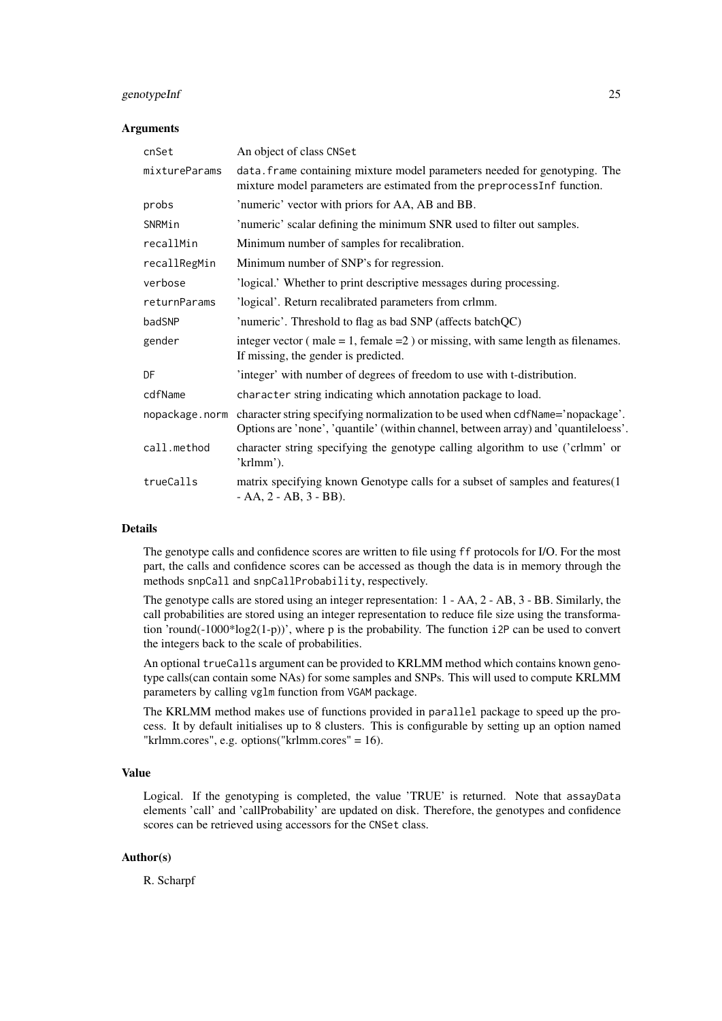#### genotypeInf 25

# Arguments

| cnSet          | An object of class CNSet                                                                                                                                              |
|----------------|-----------------------------------------------------------------------------------------------------------------------------------------------------------------------|
| mixtureParams  | data. Frame containing mixture model parameters needed for genotyping. The<br>mixture model parameters are estimated from the preprocessInf function.                 |
| probs          | 'numeric' vector with priors for AA, AB and BB.                                                                                                                       |
| SNRMin         | 'numeric' scalar defining the minimum SNR used to filter out samples.                                                                                                 |
| recallMin      | Minimum number of samples for recalibration.                                                                                                                          |
| recallRegMin   | Minimum number of SNP's for regression.                                                                                                                               |
| verbose        | 'logical.' Whether to print descriptive messages during processing.                                                                                                   |
| returnParams   | 'logical'. Return recalibrated parameters from crlmm.                                                                                                                 |
| badSNP         | 'numeric'. Threshold to flag as bad SNP (affects batchQC)                                                                                                             |
| gender         | integer vector ( $male = 1$ , $female = 2$ ) or missing, with same length as filenames.<br>If missing, the gender is predicted.                                       |
| DF             | 'integer' with number of degrees of freedom to use with t-distribution.                                                                                               |
| cdfName        | character string indicating which annotation package to load.                                                                                                         |
| nopackage.norm | character string specifying normalization to be used when cdfName='nopackage'.<br>Options are 'none', 'quantile' (within channel, between array) and 'quantileloess'. |
| call.method    | character string specifying the genotype calling algorithm to use ('crlmm' or<br>'krlmm').                                                                            |
| trueCalls      | matrix specifying known Genotype calls for a subset of samples and features(1)<br>$- AA$ , 2 $- AB$ , 3 $- BB$ ).                                                     |

# Details

The genotype calls and confidence scores are written to file using ff protocols for I/O. For the most part, the calls and confidence scores can be accessed as though the data is in memory through the methods snpCall and snpCallProbability, respectively.

The genotype calls are stored using an integer representation: 1 - AA, 2 - AB, 3 - BB. Similarly, the call probabilities are stored using an integer representation to reduce file size using the transformation 'round(-1000\*log2(1-p))', where p is the probability. The function i2P can be used to convert the integers back to the scale of probabilities.

An optional trueCalls argument can be provided to KRLMM method which contains known genotype calls(can contain some NAs) for some samples and SNPs. This will used to compute KRLMM parameters by calling vglm function from VGAM package.

The KRLMM method makes use of functions provided in parallel package to speed up the process. It by default initialises up to 8 clusters. This is configurable by setting up an option named "krlmm.cores", e.g. options("krlmm.cores" = 16).

# Value

Logical. If the genotyping is completed, the value 'TRUE' is returned. Note that assayData elements 'call' and 'callProbability' are updated on disk. Therefore, the genotypes and confidence scores can be retrieved using accessors for the CNSet class.

# Author(s)

R. Scharpf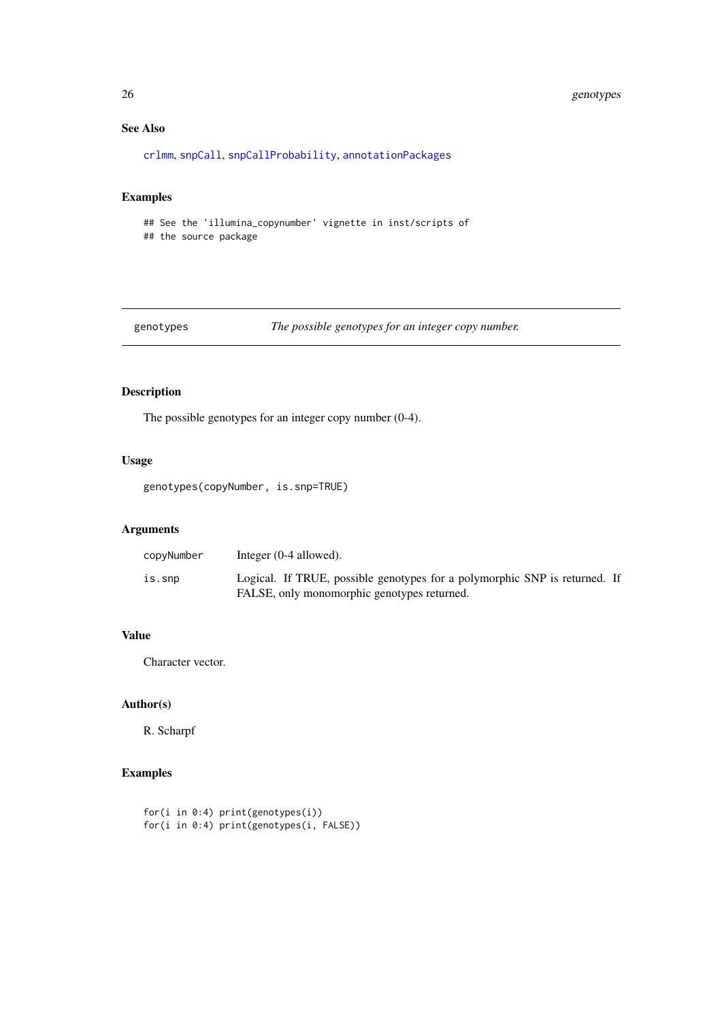# See Also

[crlmm](#page-12-1), [snpCall](#page-0-0), [snpCallProbability](#page-0-0), [annotationPackages](#page-0-0)

# Examples

```
## See the 'illumina_copynumber' vignette in inst/scripts of
## the source package
```
<span id="page-25-1"></span>genotypes *The possible genotypes for an integer copy number.*

# Description

The possible genotypes for an integer copy number (0-4).

# Usage

genotypes(copyNumber, is.snp=TRUE)

# Arguments

| copyNumber | Integer $(0-4$ allowed).                                                                                                  |  |
|------------|---------------------------------------------------------------------------------------------------------------------------|--|
| is.snp     | Logical. If TRUE, possible genotypes for a polymorphic SNP is returned. If<br>FALSE, only monomorphic genotypes returned. |  |

# Value

Character vector.

#### Author(s)

R. Scharpf

# Examples

for(i in 0:4) print(genotypes(i)) for(i in 0:4) print(genotypes(i, FALSE))

<span id="page-25-0"></span>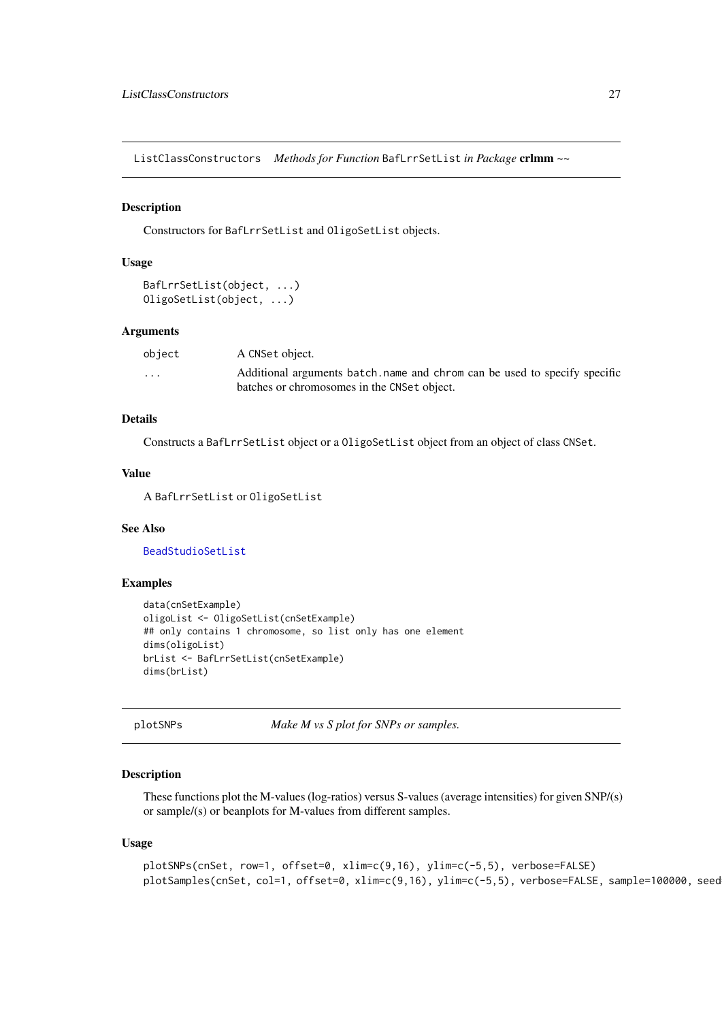<span id="page-26-0"></span>ListClassConstructors *Methods for Function* BafLrrSetList *in Package* crlmm *~~*

# Description

Constructors for BafLrrSetList and OligoSetList objects.

# Usage

```
BafLrrSetList(object, ...)
OligoSetList(object, ...)
```
#### Arguments

| object  | A CNSet object.                                                            |  |
|---------|----------------------------------------------------------------------------|--|
| $\cdot$ | Additional arguments batch, name and chrom can be used to specify specific |  |
|         | batches or chromosomes in the CNSet object.                                |  |

# Details

Constructs a BafLrrSetList object or a OligoSetList object from an object of class CNSet.

# Value

A BafLrrSetList or OligoSetList

# See Also

[BeadStudioSetList](#page-0-0)

# Examples

```
data(cnSetExample)
oligoList <- OligoSetList(cnSetExample)
## only contains 1 chromosome, so list only has one element
dims(oligoList)
brList <- BafLrrSetList(cnSetExample)
dims(brList)
```
plotSNPs *Make M vs S plot for SNPs or samples.*

# Description

These functions plot the M-values (log-ratios) versus S-values (average intensities) for given SNP/(s) or sample/(s) or beanplots for M-values from different samples.

#### Usage

```
plotSNPs(cnSet, row=1, offset=0, xlim=c(9,16), ylim=c(-5,5), verbose=FALSE)
plotSamples(cnSet, col=1, offset=0, xlim=c(9,16), ylim=c(-5,5), verbose=FALSE, sample=100000, seed
```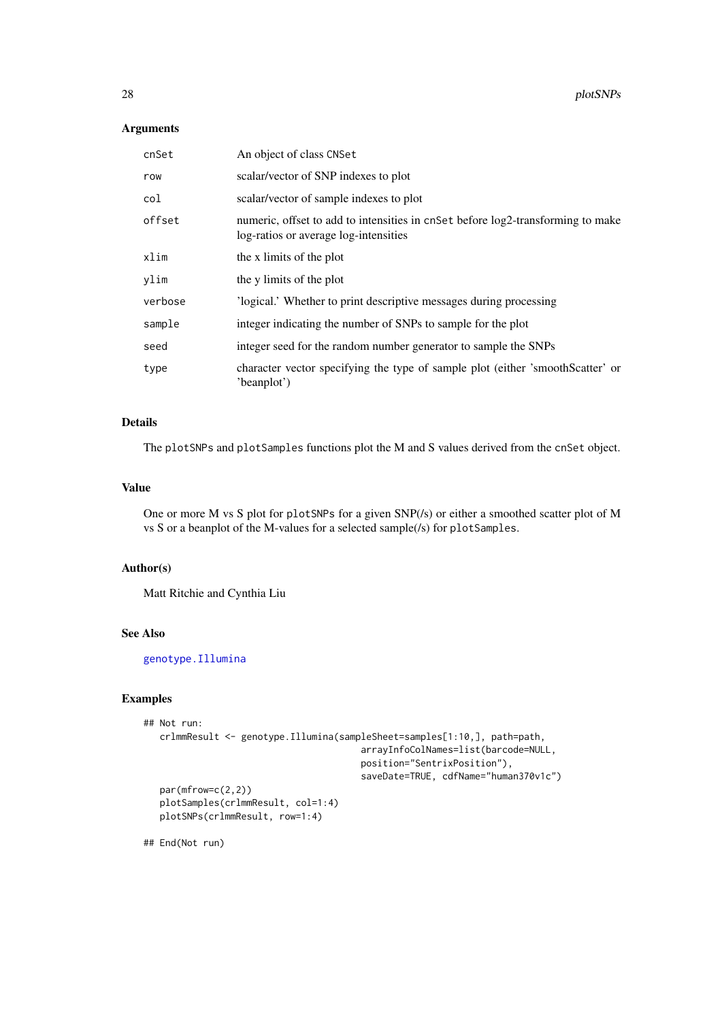# <span id="page-27-0"></span>Arguments

| cnSet   | An object of class CNSet                                                                                                 |
|---------|--------------------------------------------------------------------------------------------------------------------------|
| row     | scalar/vector of SNP indexes to plot                                                                                     |
| col     | scalar/vector of sample indexes to plot                                                                                  |
| offset  | numeric, offset to add to intensities in cnset before log2-transforming to make<br>log-ratios or average log-intensities |
| xlim    | the x limits of the plot                                                                                                 |
| ylim    | the y limits of the plot                                                                                                 |
| verbose | 'logical.' Whether to print descriptive messages during processing                                                       |
| sample  | integer indicating the number of SNPs to sample for the plot                                                             |
| seed    | integer seed for the random number generator to sample the SNPs                                                          |
| type    | character vector specifying the type of sample plot (either 'smoothScatter' or<br>'beanplot')                            |

# Details

The plotSNPs and plotSamples functions plot the M and S values derived from the cnSet object.

# Value

One or more M vs S plot for plotSNPs for a given SNP(/s) or either a smoothed scatter plot of M vs S or a beanplot of the M-values for a selected sample(/s) for plotSamples.

#### Author(s)

Matt Ritchie and Cynthia Liu

## See Also

[genotype.Illumina](#page-19-1)

# Examples

```
## Not run:
   crlmmResult <- genotype.Illumina(sampleSheet=samples[1:10,], path=path,
                                        arrayInfoColNames=list(barcode=NULL,
                                        position="SentrixPosition"),
                                        saveDate=TRUE, cdfName="human370v1c")
   par(mfrow=c(2,2))
   plotSamples(crlmmResult, col=1:4)
   plotSNPs(crlmmResult, row=1:4)
```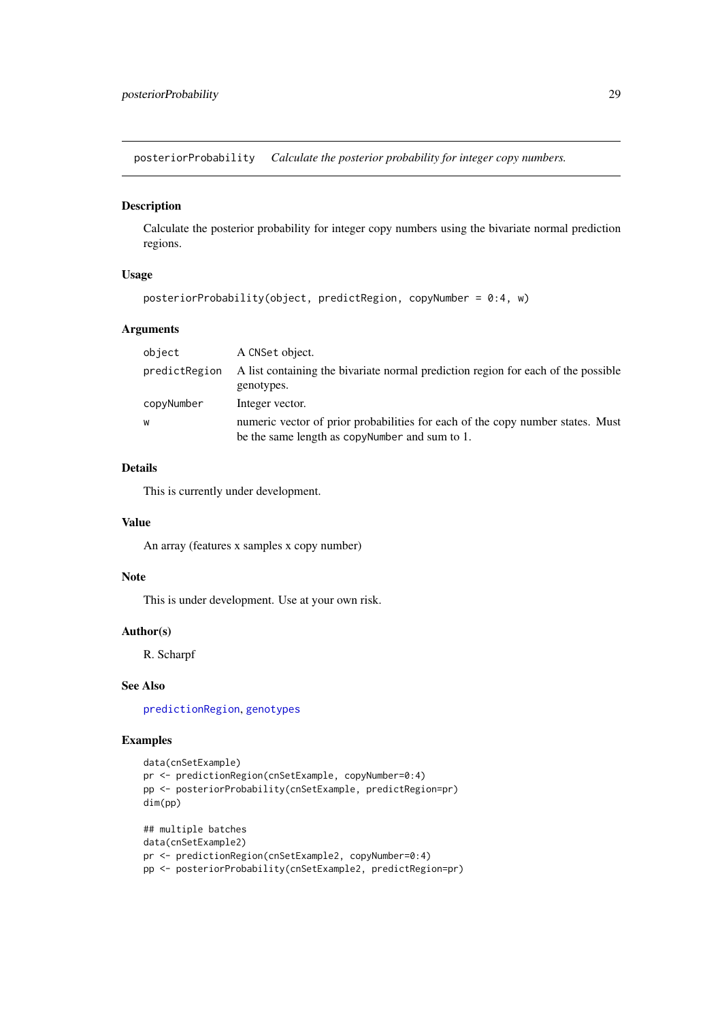<span id="page-28-1"></span><span id="page-28-0"></span>posteriorProbability *Calculate the posterior probability for integer copy numbers.*

# Description

Calculate the posterior probability for integer copy numbers using the bivariate normal prediction regions.

#### Usage

```
posteriorProbability(object, predictRegion, copyNumber = 0:4, w)
```
#### Arguments

| object        | A CNSet object.                                                                                                                   |
|---------------|-----------------------------------------------------------------------------------------------------------------------------------|
| predictRegion | A list containing the bivariate normal prediction region for each of the possible<br>genotypes.                                   |
| copyNumber    | Integer vector.                                                                                                                   |
| W             | numeric vector of prior probabilities for each of the copy number states. Must<br>be the same length as copy Number and sum to 1. |

#### Details

This is currently under development.

# Value

An array (features x samples x copy number)

# Note

This is under development. Use at your own risk.

#### Author(s)

R. Scharpf

# See Also

[predictionRegion](#page-29-1), [genotypes](#page-25-1)

#### Examples

```
data(cnSetExample)
pr <- predictionRegion(cnSetExample, copyNumber=0:4)
pp <- posteriorProbability(cnSetExample, predictRegion=pr)
dim(pp)
## multiple batches
data(cnSetExample2)
pr <- predictionRegion(cnSetExample2, copyNumber=0:4)
```

```
pp <- posteriorProbability(cnSetExample2, predictRegion=pr)
```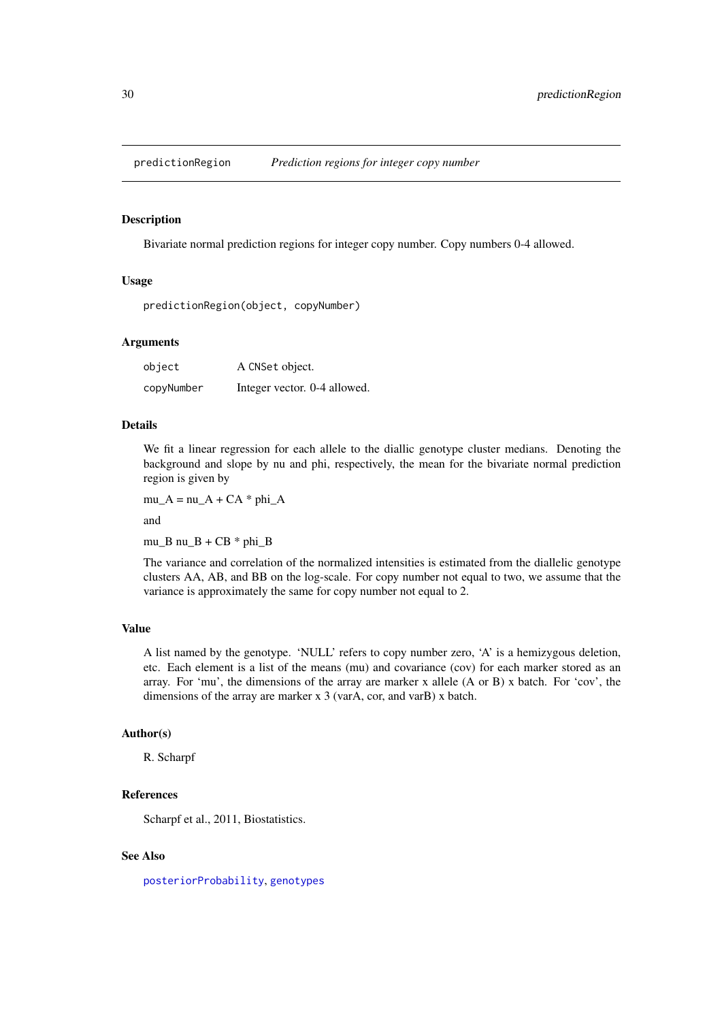<span id="page-29-1"></span><span id="page-29-0"></span>

#### Description

Bivariate normal prediction regions for integer copy number. Copy numbers 0-4 allowed.

#### Usage

predictionRegion(object, copyNumber)

#### Arguments

| object     | A CNSet object.              |
|------------|------------------------------|
| copyNumber | Integer vector. 0-4 allowed. |

#### Details

We fit a linear regression for each allele to the diallic genotype cluster medians. Denoting the background and slope by nu and phi, respectively, the mean for the bivariate normal prediction region is given by

 $mu_A = nu_A + CA * phi_A$ 

and

mu\_B nu\_B +  $CB * phi_B$ 

The variance and correlation of the normalized intensities is estimated from the diallelic genotype clusters AA, AB, and BB on the log-scale. For copy number not equal to two, we assume that the variance is approximately the same for copy number not equal to 2.

# Value

A list named by the genotype. 'NULL' refers to copy number zero, 'A' is a hemizygous deletion, etc. Each element is a list of the means (mu) and covariance (cov) for each marker stored as an array. For 'mu', the dimensions of the array are marker x allele (A or B) x batch. For 'cov', the dimensions of the array are marker x 3 (varA, cor, and varB) x batch.

#### Author(s)

R. Scharpf

# References

Scharpf et al., 2011, Biostatistics.

# See Also

[posteriorProbability](#page-28-1), [genotypes](#page-25-1)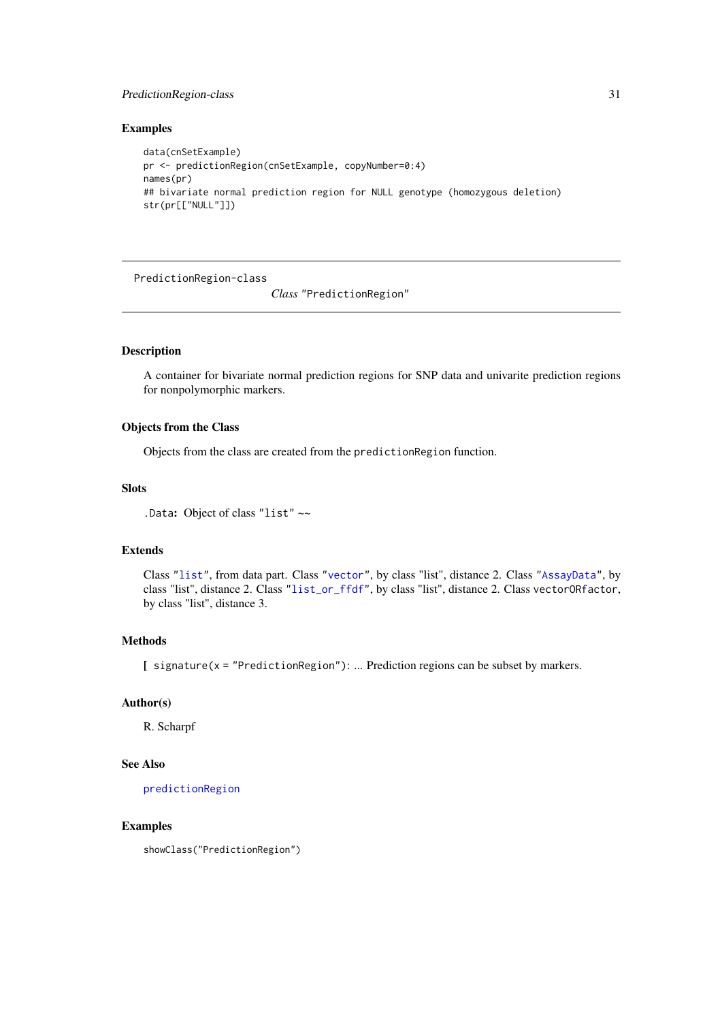#### <span id="page-30-0"></span>PredictionRegion-class 31

#### Examples

```
data(cnSetExample)
pr <- predictionRegion(cnSetExample, copyNumber=0:4)
names(pr)
## bivariate normal prediction region for NULL genotype (homozygous deletion)
str(pr[["NULL"]])
```
PredictionRegion-class

*Class* "PredictionRegion"

# Description

A container for bivariate normal prediction regions for SNP data and univarite prediction regions for nonpolymorphic markers.

# Objects from the Class

Objects from the class are created from the predictionRegion function.

# Slots

.Data: Object of class "list" ~~

#### Extends

Class ["list"](#page-0-0), from data part. Class ["vector"](#page-0-0), by class "list", distance 2. Class ["AssayData"](#page-0-0), by class "list", distance 2. Class ["list\\_or\\_ffdf"](#page-0-0), by class "list", distance 2. Class vectorORfactor, by class "list", distance 3.

# Methods

[ signature(x = "PredictionRegion"): ... Prediction regions can be subset by markers.

# Author(s)

R. Scharpf

# See Also

[predictionRegion](#page-29-1)

#### Examples

showClass("PredictionRegion")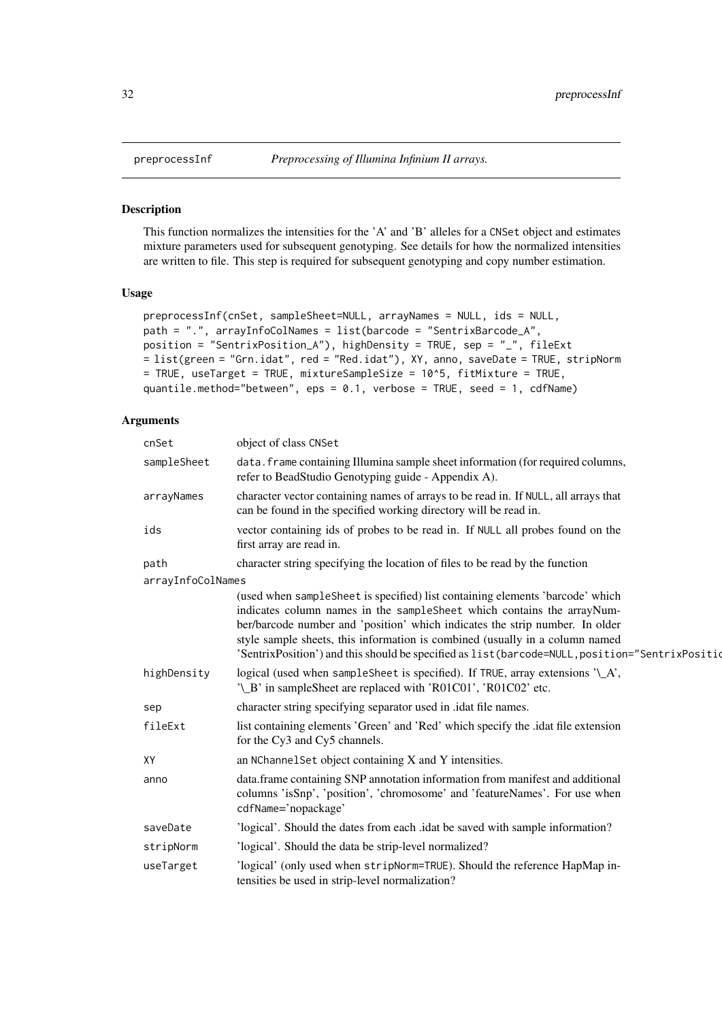# Description

This function normalizes the intensities for the 'A' and 'B' alleles for a CNSet object and estimates mixture parameters used for subsequent genotyping. See details for how the normalized intensities are written to file. This step is required for subsequent genotyping and copy number estimation.

# Usage

```
preprocessInf(cnSet, sampleSheet=NULL, arrayNames = NULL, ids = NULL,
path = ".", arrayInfoColNames = list(barcode = "SentrixBarcode_A",
position = "SentrixPosition_A"), highDensity = TRUE, sep = "_", fileExt
= list(green = "Grn.idat", red = "Red.idat"), XY, anno, saveDate = TRUE, stripNorm
= TRUE, useTarget = TRUE, mixtureSampleSize = 10^5, fitMixture = TRUE,
quantile.method="between", eps = 0.1, verbose = TRUE, seed = 1, cdfName)
```
# Arguments

| cnSet             | object of class CNSet                                                                                                                                                                                                                                                                                                                                                                                                       |
|-------------------|-----------------------------------------------------------------------------------------------------------------------------------------------------------------------------------------------------------------------------------------------------------------------------------------------------------------------------------------------------------------------------------------------------------------------------|
| sampleSheet       | data. frame containing Illumina sample sheet information (for required columns,<br>refer to BeadStudio Genotyping guide - Appendix A).                                                                                                                                                                                                                                                                                      |
| arrayNames        | character vector containing names of arrays to be read in. If NULL, all arrays that<br>can be found in the specified working directory will be read in.                                                                                                                                                                                                                                                                     |
| ids               | vector containing ids of probes to be read in. If NULL all probes found on the<br>first array are read in.                                                                                                                                                                                                                                                                                                                  |
| path              | character string specifying the location of files to be read by the function                                                                                                                                                                                                                                                                                                                                                |
| arrayInfoColNames |                                                                                                                                                                                                                                                                                                                                                                                                                             |
|                   | (used when sampleSheet is specified) list containing elements 'barcode' which<br>indicates column names in the sampleSheet which contains the arrayNum-<br>ber/barcode number and 'position' which indicates the strip number. In older<br>style sample sheets, this information is combined (usually in a column named<br>'SentrixPosition') and this should be specified as list (barcode=NULL, position="SentrixPosition |
| highDensity       | logical (used when sampleSheet is specified). If TRUE, array extensions '\_A',<br>'\_B' in sampleSheet are replaced with 'R01C01', 'R01C02' etc.                                                                                                                                                                                                                                                                            |
| sep               | character string specifying separator used in .idat file names.                                                                                                                                                                                                                                                                                                                                                             |
| fileExt           | list containing elements 'Green' and 'Red' which specify the .idat file extension<br>for the Cy3 and Cy5 channels.                                                                                                                                                                                                                                                                                                          |
| XY                | an NChannel Set object containing X and Y intensities.                                                                                                                                                                                                                                                                                                                                                                      |
| anno              | data.frame containing SNP annotation information from manifest and additional<br>columns 'isSnp', 'position', 'chromosome' and 'featureNames'. For use when<br>cdfName='nopackage'                                                                                                                                                                                                                                          |
| saveDate          | 'logical'. Should the dates from each .idat be saved with sample information?                                                                                                                                                                                                                                                                                                                                               |
| stripNorm         | 'logical'. Should the data be strip-level normalized?                                                                                                                                                                                                                                                                                                                                                                       |
| useTarget         | 'logical' (only used when stripNorm=TRUE). Should the reference HapMap in-<br>tensities be used in strip-level normalization?                                                                                                                                                                                                                                                                                               |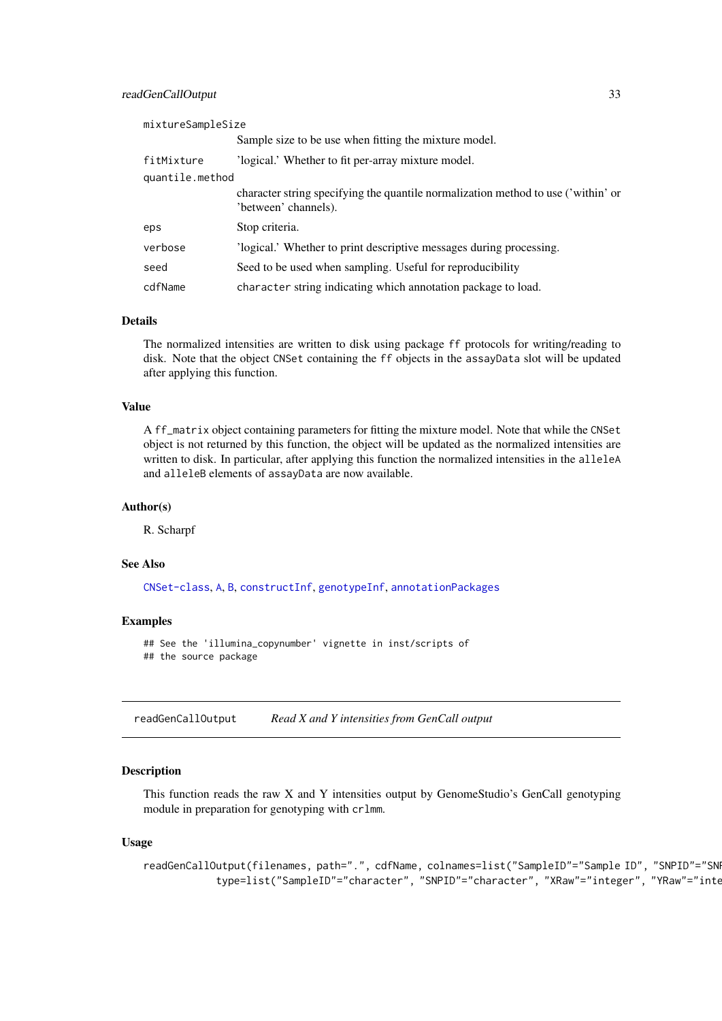#### <span id="page-32-0"></span>readGenCallOutput 33

| mixtureSampleSize |                                                                                                           |
|-------------------|-----------------------------------------------------------------------------------------------------------|
|                   | Sample size to be use when fitting the mixture model.                                                     |
| fitMixture        | 'logical.' Whether to fit per-array mixture model.                                                        |
| quantile.method   |                                                                                                           |
|                   | character string specifying the quantile normalization method to use ('within' or<br>'between' channels). |
| eps               | Stop criteria.                                                                                            |
| verbose           | 'logical.' Whether to print descriptive messages during processing.                                       |
| seed              | Seed to be used when sampling. Useful for reproducibility                                                 |
| cdfName           | character string indicating which annotation package to load.                                             |

#### Details

The normalized intensities are written to disk using package ff protocols for writing/reading to disk. Note that the object CNSet containing the ff objects in the assayData slot will be updated after applying this function.

# Value

A ff\_matrix object containing parameters for fitting the mixture model. Note that while the CNSet object is not returned by this function, the object will be updated as the normalized intensities are written to disk. In particular, after applying this function the normalized intensities in the alleleA and alleleB elements of assayData are now available.

#### Author(s)

R. Scharpf

#### See Also

[CNSet-class](#page-0-0), [A](#page-0-0), [B](#page-0-0), [constructInf](#page-9-1), [genotypeInf](#page-23-1), [annotationPackages](#page-0-0)

#### Examples

```
## See the 'illumina_copynumber' vignette in inst/scripts of
## the source package
```
readGenCallOutput *Read X and Y intensities from GenCall output*

#### Description

This function reads the raw X and Y intensities output by GenomeStudio's GenCall genotyping module in preparation for genotyping with crlmm.

#### Usage

```
readGenCallOutput(filenames, path=".", cdfName, colnames=list("SampleID"="Sample ID", "SNPID"="SN
            type=list("SampleID"="character", "SNPID"="character", "XRaw"="integer", "YRaw"="inte
```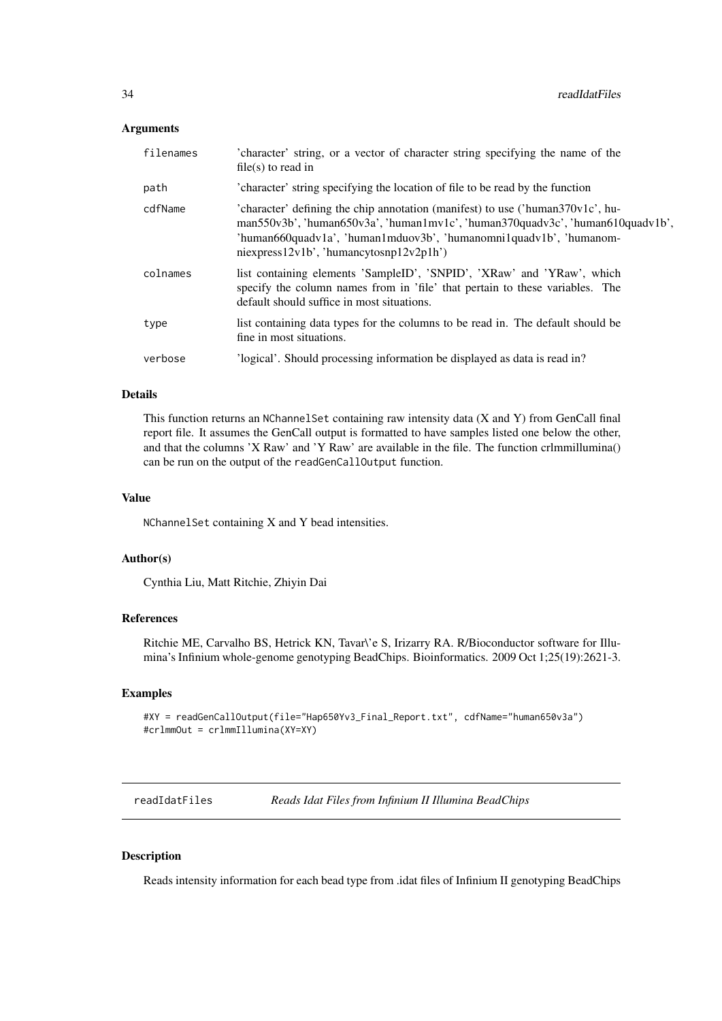# <span id="page-33-0"></span>Arguments

| filenames | 'character' string, or a vector of character string specifying the name of the<br>file(s) to read in                                                                                                                                                                                                                |
|-----------|---------------------------------------------------------------------------------------------------------------------------------------------------------------------------------------------------------------------------------------------------------------------------------------------------------------------|
| path      | 'character' string specifying the location of file to be read by the function                                                                                                                                                                                                                                       |
| cdfName   | 'character' defining the chip annotation (manifest) to use ('human $370v1c$ ', hu-<br>$man550v3b$ ', 'human $650v3a$ ', 'human $1mv1c$ ', 'human $370quadv3c$ ', 'human $610quadv1b$ ',<br>'human660quadv1a', 'human1mduov3b', 'humanomni1quadv1b', 'humanom-<br>$n$ iexpress $12v1b'$ , 'humancytosn $p12v2p1h'$ ) |
| colnames  | list containing elements 'SampleID', 'SNPID', 'XRaw' and 'YRaw', which<br>specify the column names from in 'file' that pertain to these variables. The<br>default should suffice in most situations.                                                                                                                |
| type      | list containing data types for the columns to be read in. The default should be<br>fine in most situations.                                                                                                                                                                                                         |
| verbose   | 'logical'. Should processing information be displayed as data is read in?                                                                                                                                                                                                                                           |

# Details

This function returns an NChannelSet containing raw intensity data (X and Y) from GenCall final report file. It assumes the GenCall output is formatted to have samples listed one below the other, and that the columns 'X Raw' and 'Y Raw' are available in the file. The function crlmmillumina() can be run on the output of the readGenCallOutput function.

# Value

NChannelSet containing X and Y bead intensities.

#### Author(s)

Cynthia Liu, Matt Ritchie, Zhiyin Dai

#### References

Ritchie ME, Carvalho BS, Hetrick KN, Tavar\'e S, Irizarry RA. R/Bioconductor software for Illumina's Infinium whole-genome genotyping BeadChips. Bioinformatics. 2009 Oct 1;25(19):2621-3.

#### Examples

```
#XY = readGenCallOutput(file="Hap650Yv3_Final_Report.txt", cdfName="human650v3a")
#crlmmOut = crlmmIllumina(XY=XY)
```
readIdatFiles *Reads Idat Files from Infinium II Illumina BeadChips*

# Description

Reads intensity information for each bead type from .idat files of Infinium II genotyping BeadChips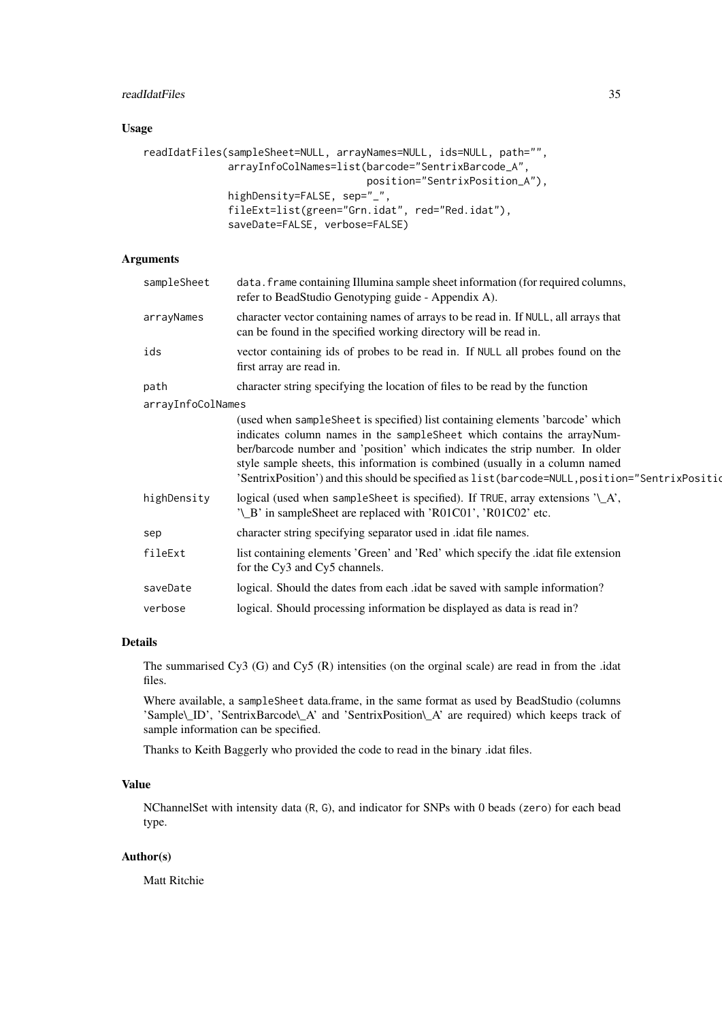#### readIdatFiles 35

# Usage

```
readIdatFiles(sampleSheet=NULL, arrayNames=NULL, ids=NULL, path="",
              arrayInfoColNames=list(barcode="SentrixBarcode_A",
                                     position="SentrixPosition_A"),
              highDensity=FALSE, sep="_",
              fileExt=list(green="Grn.idat", red="Red.idat"),
              saveDate=FALSE, verbose=FALSE)
```
# Arguments

| sampleSheet       | data. frame containing Illumina sample sheet information (for required columns,<br>refer to BeadStudio Genotyping guide - Appendix A).                                                                                                                                                                                                                                                                                     |
|-------------------|----------------------------------------------------------------------------------------------------------------------------------------------------------------------------------------------------------------------------------------------------------------------------------------------------------------------------------------------------------------------------------------------------------------------------|
| arrayNames        | character vector containing names of arrays to be read in. If NULL, all arrays that<br>can be found in the specified working directory will be read in.                                                                                                                                                                                                                                                                    |
| ids               | vector containing ids of probes to be read in. If NULL all probes found on the<br>first array are read in.                                                                                                                                                                                                                                                                                                                 |
| path              | character string specifying the location of files to be read by the function                                                                                                                                                                                                                                                                                                                                               |
| arrayInfoColNames |                                                                                                                                                                                                                                                                                                                                                                                                                            |
|                   | (used when sampleSheet is specified) list containing elements 'barcode' which<br>indicates column names in the sampleSheet which contains the arrayNum-<br>ber/barcode number and 'position' which indicates the strip number. In older<br>style sample sheets, this information is combined (usually in a column named<br>'SentrixPosition') and this should be specified as list (barcode=NULL, position="SentrixPositio |
| highDensity       | logical (used when sample Sheet is specified). If TRUE, array extensions $'\_A$ ,<br>'\_B' in sampleSheet are replaced with 'R01C01', 'R01C02' etc.                                                                                                                                                                                                                                                                        |
| sep               | character string specifying separator used in .idat file names.                                                                                                                                                                                                                                                                                                                                                            |
| fileExt           | list containing elements 'Green' and 'Red' which specify the .idat file extension<br>for the Cy3 and Cy5 channels.                                                                                                                                                                                                                                                                                                         |
| saveDate          | logical. Should the dates from each <i>idat</i> be saved with sample information?                                                                                                                                                                                                                                                                                                                                          |
| verbose           | logical. Should processing information be displayed as data is read in?                                                                                                                                                                                                                                                                                                                                                    |
|                   |                                                                                                                                                                                                                                                                                                                                                                                                                            |

# Details

The summarised Cy3 (G) and Cy5 (R) intensities (on the orginal scale) are read in from the .idat files.

Where available, a sampleSheet data.frame, in the same format as used by BeadStudio (columns 'Sample\\_ID', 'SentrixBarcode\\_A' and 'SentrixPosition\\_A' are required) which keeps track of sample information can be specified.

Thanks to Keith Baggerly who provided the code to read in the binary .idat files.

# Value

NChannelSet with intensity data (R, G), and indicator for SNPs with 0 beads (zero) for each bead type.

# Author(s)

Matt Ritchie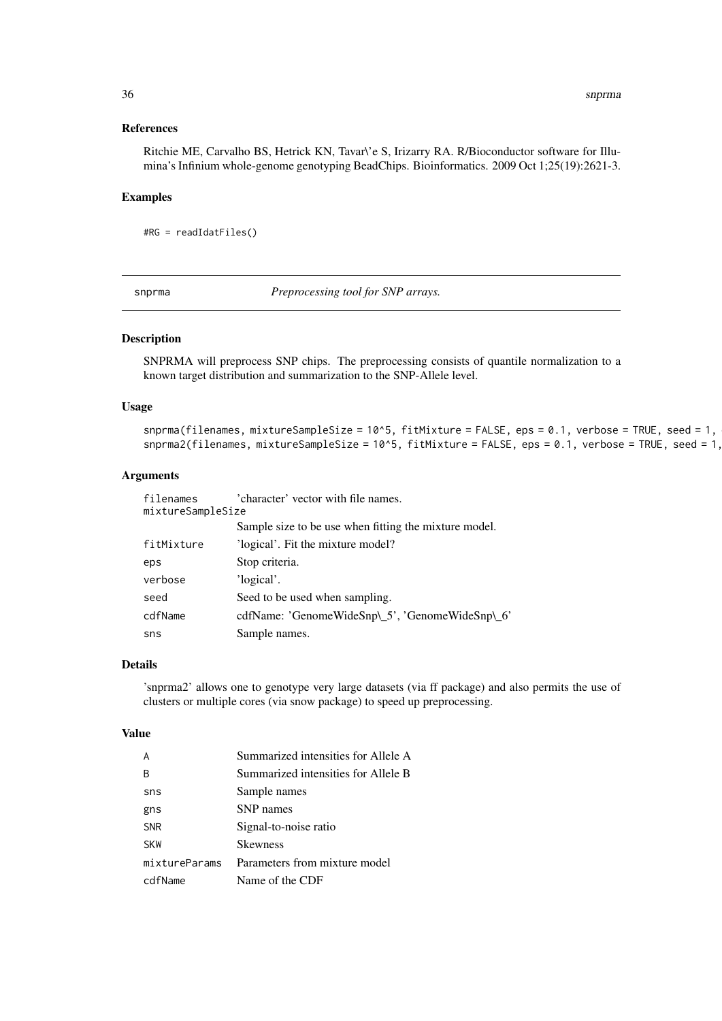<span id="page-35-0"></span>36 snprma

#### References

Ritchie ME, Carvalho BS, Hetrick KN, Tavar\'e S, Irizarry RA. R/Bioconductor software for Illumina's Infinium whole-genome genotyping BeadChips. Bioinformatics. 2009 Oct 1;25(19):2621-3.

#### Examples

#RG = readIdatFiles()

<span id="page-35-1"></span>snprma *Preprocessing tool for SNP arrays.*

#### Description

SNPRMA will preprocess SNP chips. The preprocessing consists of quantile normalization to a known target distribution and summarization to the SNP-Allele level.

# Usage

```
snprma(filenames, mixtureSampleSize = 10^5, fitMixture = FALSE, eps = 0.1, verbose = TRUE, seed = 1,
snprma2(filenames, mixtureSampleSize = 10^5, fitMixture = FALSE, eps = 0.1, verbose = TRUE, seed = 1,
```
#### Arguments

| filenames         | 'character' vector with file names.                   |
|-------------------|-------------------------------------------------------|
| mixtureSampleSize |                                                       |
|                   | Sample size to be use when fitting the mixture model. |
| fitMixture        | 'logical'. Fit the mixture model?                     |
| eps               | Stop criteria.                                        |
| verbose           | 'logical'.                                            |
| seed              | Seed to be used when sampling.                        |
| cdfName           | cdfName: 'GenomeWideSnp\_5', 'GenomeWideSnp\_6'       |
| sns               | Sample names.                                         |

### Details

'snprma2' allows one to genotype very large datasets (via ff package) and also permits the use of clusters or multiple cores (via snow package) to speed up preprocessing.

#### Value

|               | Summarized intensities for Allele A |
|---------------|-------------------------------------|
| B             | Summarized intensities for Allele B |
| sns           | Sample names                        |
| gns           | SNP names                           |
| <b>SNR</b>    | Signal-to-noise ratio               |
| <b>SKW</b>    | <b>Skewness</b>                     |
| mixtureParams | Parameters from mixture model       |
| cdfName       | Name of the CDF                     |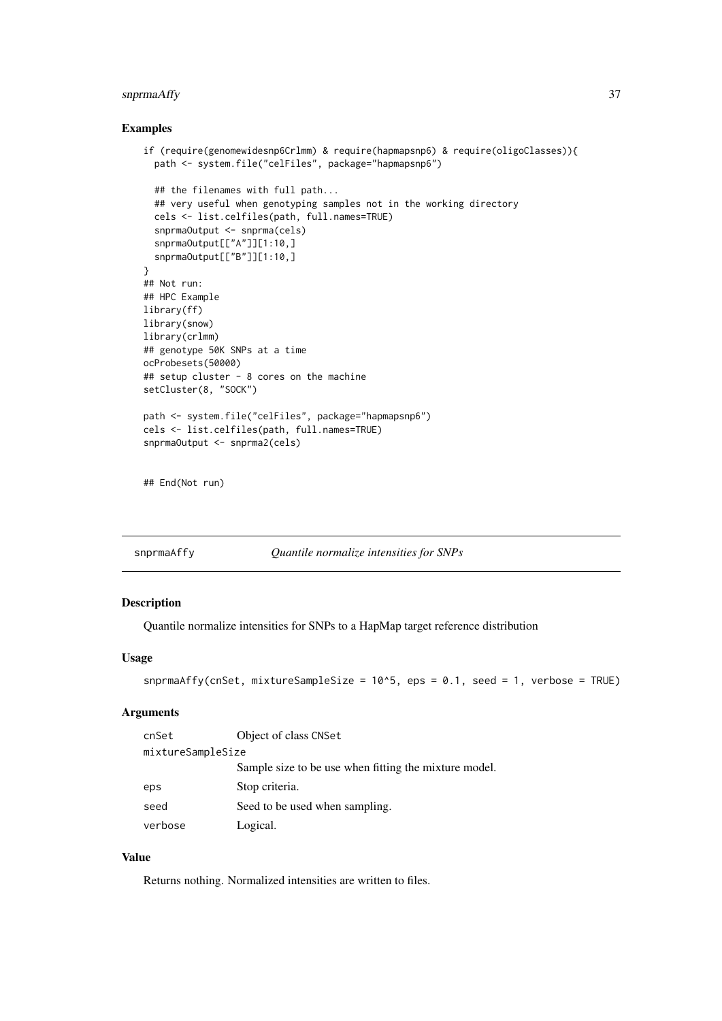#### <span id="page-36-0"></span>snprmaAffy 37

# Examples

```
if (require(genomewidesnp6Crlmm) & require(hapmapsnp6) & require(oligoClasses)){
  path <- system.file("celFiles", package="hapmapsnp6")
  ## the filenames with full path...
  ## very useful when genotyping samples not in the working directory
  cels <- list.celfiles(path, full.names=TRUE)
  snprmaOutput <- snprma(cels)
  snprmaOutput[["A"]][1:10,]
  snprmaOutput[["B"]][1:10,]
}
## Not run:
## HPC Example
library(ff)
library(snow)
library(crlmm)
## genotype 50K SNPs at a time
ocProbesets(50000)
## setup cluster - 8 cores on the machine
setCluster(8, "SOCK")
path <- system.file("celFiles", package="hapmapsnp6")
cels <- list.celfiles(path, full.names=TRUE)
snprmaOutput <- snprma2(cels)
## End(Not run)
```
<span id="page-36-1"></span>

| snprmaAffy |  | Quantile normalize intensities for SNPs |
|------------|--|-----------------------------------------|
|------------|--|-----------------------------------------|

# Description

Quantile normalize intensities for SNPs to a HapMap target reference distribution

# Usage

```
snprmaAffy(cnSet, mixtureSampleSize = 10^{\circ}5, eps = 0.1, seed = 1, verbose = TRUE)
```
# Arguments

| cnSet             | Object of class CNSet                                 |
|-------------------|-------------------------------------------------------|
| mixtureSampleSize |                                                       |
|                   | Sample size to be use when fitting the mixture model. |
| eps               | Stop criteria.                                        |
| seed              | Seed to be used when sampling.                        |
| verbose           | Logical.                                              |

# Value

Returns nothing. Normalized intensities are written to files.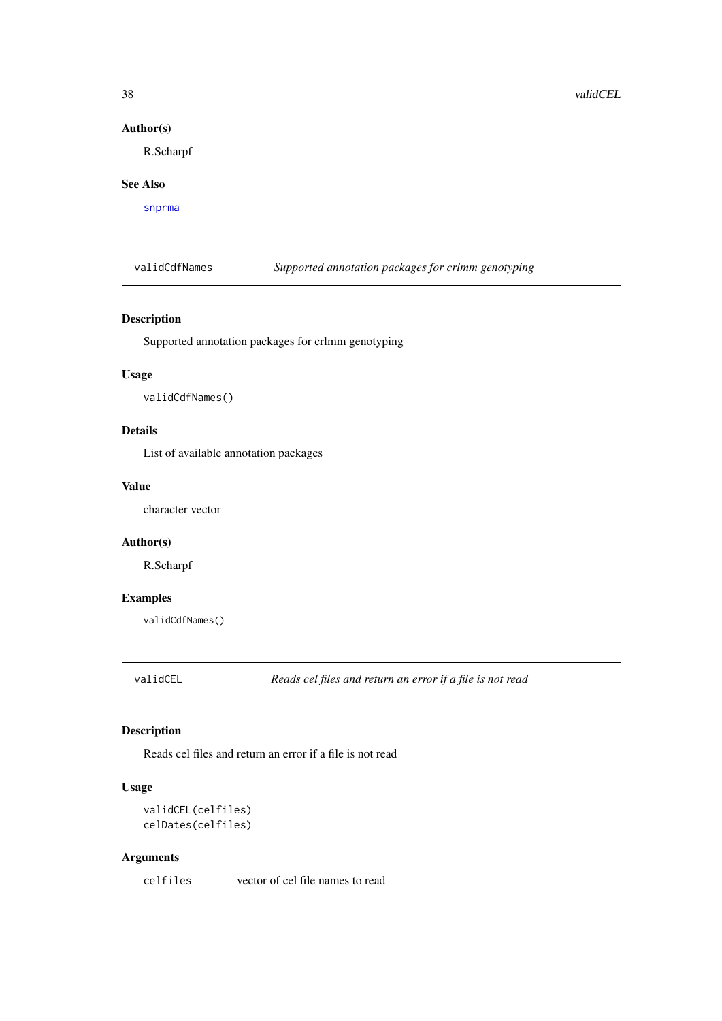# Author(s)

R.Scharpf

#### See Also

[snprma](#page-35-1)

validCdfNames *Supported annotation packages for crlmm genotyping*

# Description

Supported annotation packages for crlmm genotyping

#### Usage

validCdfNames()

# Details

List of available annotation packages

# Value

character vector

# Author(s)

R.Scharpf

# Examples

validCdfNames()

validCEL *Reads cel files and return an error if a file is not read*

# Description

Reads cel files and return an error if a file is not read

# Usage

validCEL(celfiles) celDates(celfiles)

# Arguments

celfiles vector of cel file names to read

<span id="page-37-0"></span>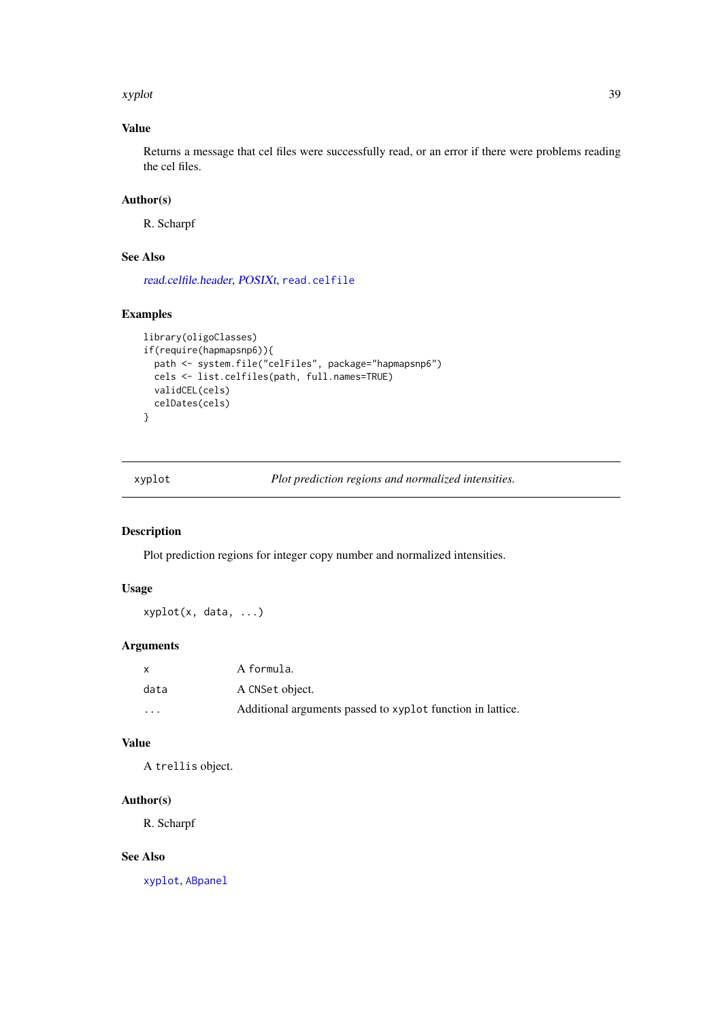#### <span id="page-38-0"></span>xyplot 39

# Value

Returns a message that cel files were successfully read, or an error if there were problems reading the cel files.

# Author(s)

R. Scharpf

# See Also

[read.celfile.header](#page-0-0), [POSIXt](#page-0-0), [read.celfile](#page-0-0)

# Examples

```
library(oligoClasses)
if(require(hapmapsnp6)){
  path <- system.file("celFiles", package="hapmapsnp6")
  cels <- list.celfiles(path, full.names=TRUE)
  validCEL(cels)
  celDates(cels)
}
```
<span id="page-38-1"></span>xyplot *Plot prediction regions and normalized intensities.*

# Description

Plot prediction regions for integer copy number and normalized intensities.

# Usage

xyplot(x, data, ...)

# Arguments

|                         | A formula.                                                 |
|-------------------------|------------------------------------------------------------|
| data                    | A CNSet object.                                            |
| $\cdot$ $\cdot$ $\cdot$ | Additional arguments passed to xyplot function in lattice. |

# Value

A trellis object.

# Author(s)

R. Scharpf

#### See Also

[xyplot](#page-38-1), [ABpanel](#page-2-1)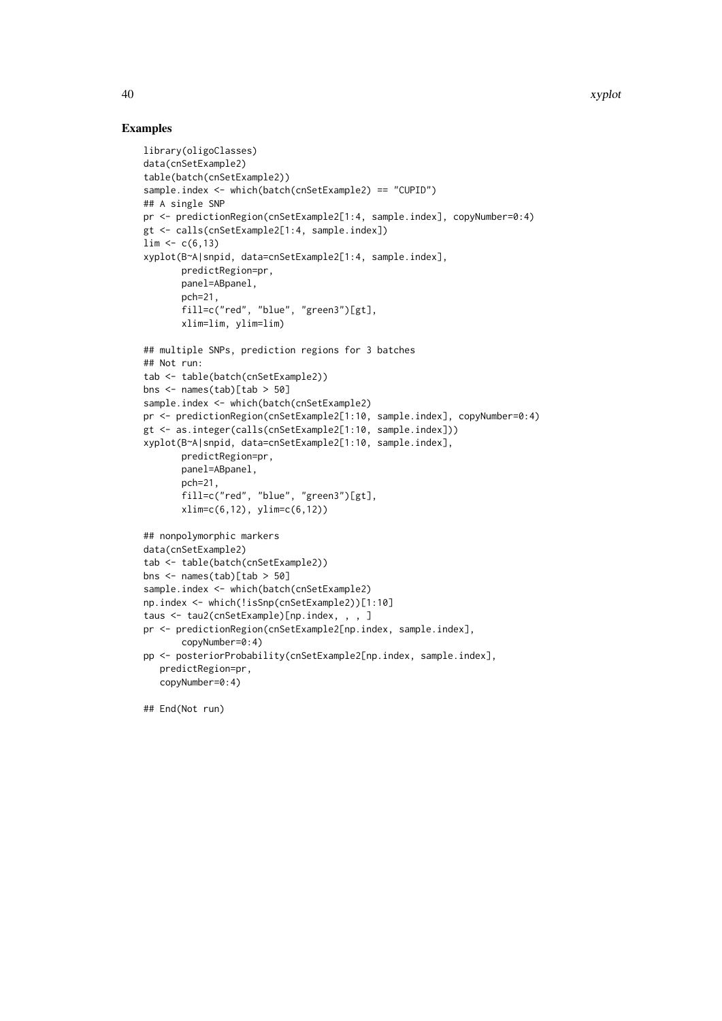# Examples

```
library(oligoClasses)
data(cnSetExample2)
table(batch(cnSetExample2))
sample.index <- which(batch(cnSetExample2) == "CUPID")
## A single SNP
pr <- predictionRegion(cnSetExample2[1:4, sample.index], copyNumber=0:4)
gt <- calls(cnSetExample2[1:4, sample.index])
\lim <- c(6,13)
xyplot(B~A|snpid, data=cnSetExample2[1:4, sample.index],
       predictRegion=pr,
       panel=ABpanel,
       pch=21,
       fill=c("red", "blue", "green3")[gt],
       xlim=lim, ylim=lim)
## multiple SNPs, prediction regions for 3 batches
## Not run:
tab <- table(batch(cnSetExample2))
bns <- names(tab)[tab > 50]
sample.index <- which(batch(cnSetExample2)
pr <- predictionRegion(cnSetExample2[1:10, sample.index], copyNumber=0:4)
gt <- as.integer(calls(cnSetExample2[1:10, sample.index]))
xyplot(B~A|snpid, data=cnSetExample2[1:10, sample.index],
       predictRegion=pr,
       panel=ABpanel,
       pch=21,
       fill=c("red", "blue", "green3")[gt],
       xlim=c(6,12), ylim=c(6,12))
## nonpolymorphic markers
data(cnSetExample2)
tab <- table(batch(cnSetExample2))
bns <- names(tab)[tab > 50]
sample.index <- which(batch(cnSetExample2)
np.index <- which(!isSnp(cnSetExample2))[1:10]
taus <- tau2(cnSetExample)[np.index, , , ]
pr <- predictionRegion(cnSetExample2[np.index, sample.index],
       copyNumber=0:4)
pp <- posteriorProbability(cnSetExample2[np.index, sample.index],
   predictRegion=pr,
   copyNumber=0:4)
```
## End(Not run)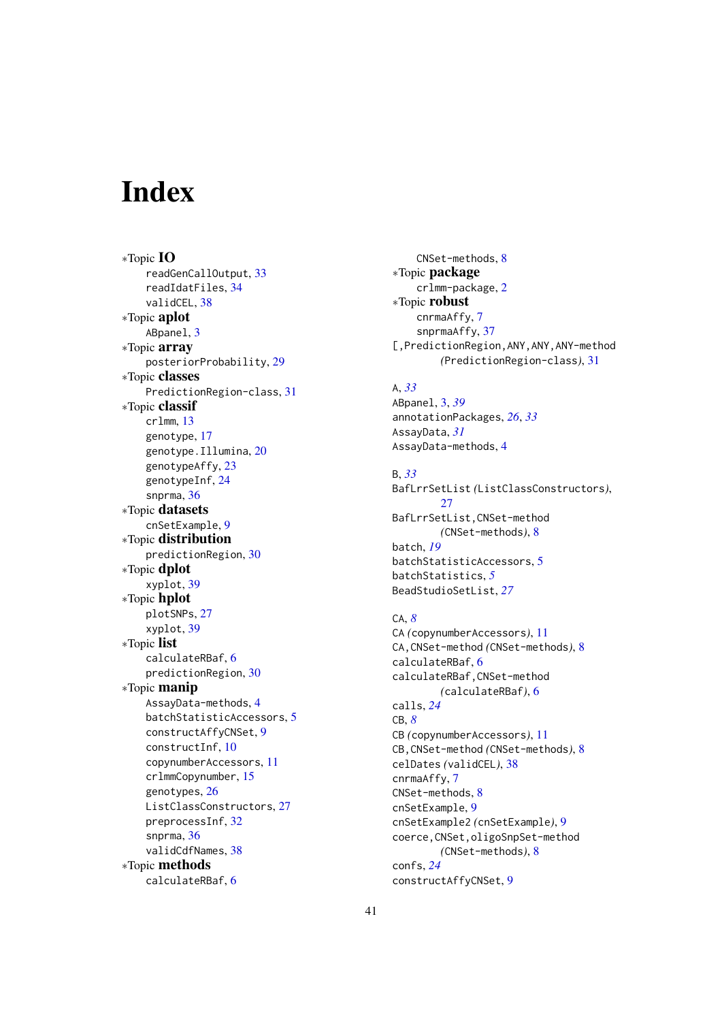# <span id="page-40-0"></span>Index

∗Topic IO readGenCallOutput, [33](#page-32-0) readIdatFiles, [34](#page-33-0) validCEL, [38](#page-37-0) ∗Topic aplot ABpanel, [3](#page-2-0) ∗Topic array posteriorProbability, [29](#page-28-0) ∗Topic classes PredictionRegion-class, [31](#page-30-0) ∗Topic classif crlmm, [13](#page-12-0) genotype, [17](#page-16-0) genotype.Illumina, [20](#page-19-0) genotypeAffy, [23](#page-22-0) genotypeInf, [24](#page-23-0) snprma, [36](#page-35-0) ∗Topic datasets cnSetExample, [9](#page-8-0) ∗Topic distribution predictionRegion, [30](#page-29-0) ∗Topic dplot xyplot, [39](#page-38-0) ∗Topic hplot plotSNPs, [27](#page-26-0) xyplot, [39](#page-38-0) ∗Topic list calculateRBaf, [6](#page-5-0) predictionRegion, [30](#page-29-0) ∗Topic manip AssayData-methods, [4](#page-3-0) batchStatisticAccessors, [5](#page-4-0) constructAffyCNSet, [9](#page-8-0) constructInf, [10](#page-9-0) copynumberAccessors, [11](#page-10-0) crlmmCopynumber, [15](#page-14-0) genotypes, [26](#page-25-0) ListClassConstructors, [27](#page-26-0) preprocessInf, [32](#page-31-0) snprma, [36](#page-35-0) validCdfNames, [38](#page-37-0) ∗Topic methods calculateRBaf, [6](#page-5-0)

CNSet-methods, [8](#page-7-0) ∗Topic package crlmm-package, [2](#page-1-0) ∗Topic robust cnrmaAffy, [7](#page-6-0) snprmaAffy, [37](#page-36-0) [,PredictionRegion,ANY,ANY,ANY-method *(*PredictionRegion-class*)*, [31](#page-30-0)

# A, *[33](#page-32-0)*

ABpanel, [3,](#page-2-0) *[39](#page-38-0)* annotationPackages, *[26](#page-25-0)*, *[33](#page-32-0)* AssayData, *[31](#page-30-0)* AssayData-methods, [4](#page-3-0)

# B, *[33](#page-32-0)*

BafLrrSetList *(*ListClassConstructors*)*, [27](#page-26-0) BafLrrSetList,CNSet-method *(*CNSet-methods*)*, [8](#page-7-0) batch, *[19](#page-18-0)* batchStatisticAccessors, [5](#page-4-0) batchStatistics, *[5](#page-4-0)* BeadStudioSetList, *[27](#page-26-0)*

# CA, *[8](#page-7-0)*

CA *(*copynumberAccessors*)*, [11](#page-10-0) CA,CNSet-method *(*CNSet-methods*)*, [8](#page-7-0) calculateRBaf, [6](#page-5-0) calculateRBaf,CNSet-method *(*calculateRBaf*)*, [6](#page-5-0) calls, *[24](#page-23-0)* CB, *[8](#page-7-0)* CB *(*copynumberAccessors*)*, [11](#page-10-0) CB,CNSet-method *(*CNSet-methods*)*, [8](#page-7-0) celDates *(*validCEL*)*, [38](#page-37-0) cnrmaAffy, [7](#page-6-0) CNSet-methods, [8](#page-7-0) cnSetExample, [9](#page-8-0) cnSetExample2 *(*cnSetExample*)*, [9](#page-8-0) coerce,CNSet,oligoSnpSet-method *(*CNSet-methods*)*, [8](#page-7-0) confs, *[24](#page-23-0)* constructAffyCNSet, [9](#page-8-0)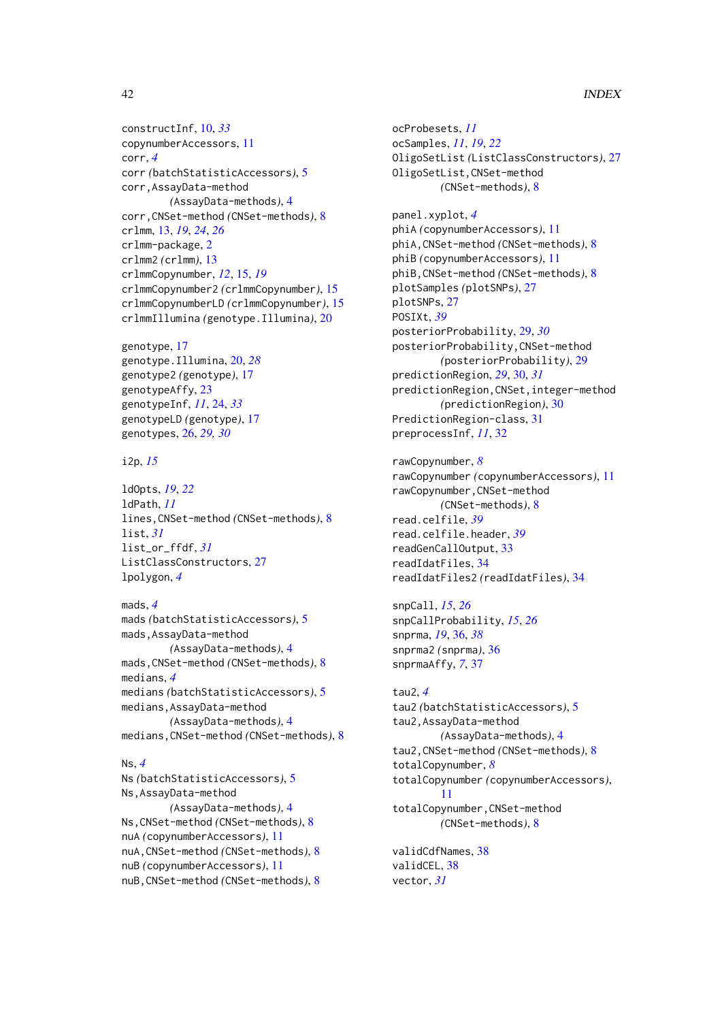#### 42 INDEX

constructInf, [10,](#page-9-0) *[33](#page-32-0)* copynumberAccessors, [11](#page-10-0) corr, *[4](#page-3-0)* corr *(*batchStatisticAccessors*)*, [5](#page-4-0) corr,AssayData-method *(*AssayData-methods*)*, [4](#page-3-0) corr,CNSet-method *(*CNSet-methods*)*, [8](#page-7-0) crlmm, [13,](#page-12-0) *[19](#page-18-0)*, *[24](#page-23-0)*, *[26](#page-25-0)* crlmm-package, [2](#page-1-0) crlmm2 *(*crlmm*)*, [13](#page-12-0) crlmmCopynumber, *[12](#page-11-0)*, [15,](#page-14-0) *[19](#page-18-0)* crlmmCopynumber2 *(*crlmmCopynumber*)*, [15](#page-14-0) crlmmCopynumberLD *(*crlmmCopynumber*)*, [15](#page-14-0) crlmmIllumina *(*genotype.Illumina*)*, [20](#page-19-0)

genotype, [17](#page-16-0) genotype.Illumina, [20,](#page-19-0) *[28](#page-27-0)* genotype2 *(*genotype*)*, [17](#page-16-0) genotypeAffy, [23](#page-22-0) genotypeInf, *[11](#page-10-0)*, [24,](#page-23-0) *[33](#page-32-0)* genotypeLD *(*genotype*)*, [17](#page-16-0) genotypes, [26,](#page-25-0) *[29,](#page-28-0) [30](#page-29-0)*

#### i2p, *[15](#page-14-0)*

ldOpts, *[19](#page-18-0)*, *[22](#page-21-0)* ldPath, *[11](#page-10-0)* lines,CNSet-method *(*CNSet-methods*)*, [8](#page-7-0) list, *[31](#page-30-0)* list\_or\_ffdf, *[31](#page-30-0)* ListClassConstructors, [27](#page-26-0) lpolygon, *[4](#page-3-0)*

#### mads, *[4](#page-3-0)*

mads *(*batchStatisticAccessors*)*, [5](#page-4-0) mads,AssayData-method *(*AssayData-methods*)*, [4](#page-3-0) mads,CNSet-method *(*CNSet-methods*)*, [8](#page-7-0) medians, *[4](#page-3-0)* medians *(*batchStatisticAccessors*)*, [5](#page-4-0) medians,AssayData-method *(*AssayData-methods*)*, [4](#page-3-0) medians,CNSet-method *(*CNSet-methods*)*, [8](#page-7-0)

#### Ns, *[4](#page-3-0)*

Ns *(*batchStatisticAccessors*)*, [5](#page-4-0) Ns,AssayData-method *(*AssayData-methods*)*, [4](#page-3-0) Ns,CNSet-method *(*CNSet-methods*)*, [8](#page-7-0) nuA *(*copynumberAccessors*)*, [11](#page-10-0) nuA,CNSet-method *(*CNSet-methods*)*, [8](#page-7-0) nuB *(*copynumberAccessors*)*, [11](#page-10-0) nuB,CNSet-method *(*CNSet-methods*)*, [8](#page-7-0) ocProbesets, *[11](#page-10-0)* ocSamples, *[11](#page-10-0)*, *[19](#page-18-0)*, *[22](#page-21-0)* OligoSetList *(*ListClassConstructors*)*, [27](#page-26-0) OligoSetList,CNSet-method *(*CNSet-methods*)*, [8](#page-7-0) panel.xyplot, *[4](#page-3-0)* phiA *(*copynumberAccessors*)*, [11](#page-10-0) phiA,CNSet-method *(*CNSet-methods*)*, [8](#page-7-0) phiB *(*copynumberAccessors*)*, [11](#page-10-0) phiB,CNSet-method *(*CNSet-methods*)*, [8](#page-7-0) plotSamples *(*plotSNPs*)*, [27](#page-26-0) plotSNPs, [27](#page-26-0) POSIXt, *[39](#page-38-0)* posteriorProbability, [29,](#page-28-0) *[30](#page-29-0)* posteriorProbability,CNSet-method *(*posteriorProbability*)*, [29](#page-28-0) predictionRegion, *[29](#page-28-0)*, [30,](#page-29-0) *[31](#page-30-0)* predictionRegion,CNSet,integer-method *(*predictionRegion*)*, [30](#page-29-0) PredictionRegion-class, [31](#page-30-0) preprocessInf, *[11](#page-10-0)*, [32](#page-31-0)

#### rawCopynumber, *[8](#page-7-0)* rawCopynumber *(*copynumberAccessors*)*, [11](#page-10-0)

rawCopynumber,CNSet-method *(*CNSet-methods*)*, [8](#page-7-0) read.celfile, *[39](#page-38-0)* read.celfile.header, *[39](#page-38-0)* readGenCallOutput, [33](#page-32-0) readIdatFiles, [34](#page-33-0) readIdatFiles2 *(*readIdatFiles*)*, [34](#page-33-0)

snpCall, *[15](#page-14-0)*, *[26](#page-25-0)* snpCallProbability, *[15](#page-14-0)*, *[26](#page-25-0)* snprma, *[19](#page-18-0)*, [36,](#page-35-0) *[38](#page-37-0)* snprma2 *(*snprma*)*, [36](#page-35-0) snprmaAffy, *[7](#page-6-0)*, [37](#page-36-0)

tau2, *[4](#page-3-0)* tau2 *(*batchStatisticAccessors*)*, [5](#page-4-0) tau2,AssayData-method *(*AssayData-methods*)*, [4](#page-3-0) tau2,CNSet-method *(*CNSet-methods*)*, [8](#page-7-0) totalCopynumber, *[8](#page-7-0)* totalCopynumber *(*copynumberAccessors*)*, [11](#page-10-0) totalCopynumber,CNSet-method *(*CNSet-methods*)*, [8](#page-7-0)

validCdfNames, [38](#page-37-0) validCEL, [38](#page-37-0) vector, *[31](#page-30-0)*